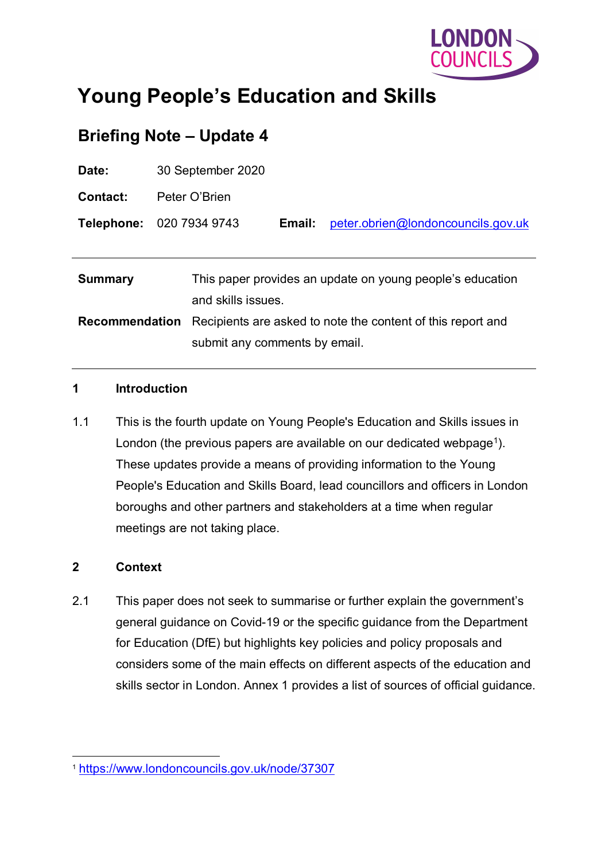

# **Young People's Education and Skills**

## **Briefing Note – Update 4**

| Date:                 | 30 September 2020                                                              |        |                                    |
|-----------------------|--------------------------------------------------------------------------------|--------|------------------------------------|
| Contact:              | Peter O'Brien                                                                  |        |                                    |
|                       | <b>Telephone: 020 7934 9743</b>                                                | Email: | peter.obrien@londoncouncils.gov.uk |
|                       |                                                                                |        |                                    |
| <b>Summary</b>        | This paper provides an update on young people's education<br>and skills issues |        |                                    |
| <b>Recommendation</b> | Recipients are asked to note the content of this report and                    |        |                                    |
|                       | submit any comments by email.                                                  |        |                                    |

#### **1 Introduction**

1.1 This is the fourth update on Young People's Education and Skills issues in London (the previous papers are available on our dedicated webpage<sup>1</sup>). These updates provide a means of providing information to the Young People's Education and Skills Board, lead councillors and officers in London boroughs and other partners and stakeholders at a time when regular meetings are not taking place.

#### **2 Context**

2.1 This paper does not seek to summarise or further explain the government's general guidance on Covid-19 or the specific guidance from the Department for Education (DfE) but highlights key policies and policy proposals and considers some of the main effects on different aspects of the education and skills sector in London. Annex 1 provides a list of sources of official guidance.

<span id="page-0-0"></span> <sup>1</sup> <https://www.londoncouncils.gov.uk/node/37307>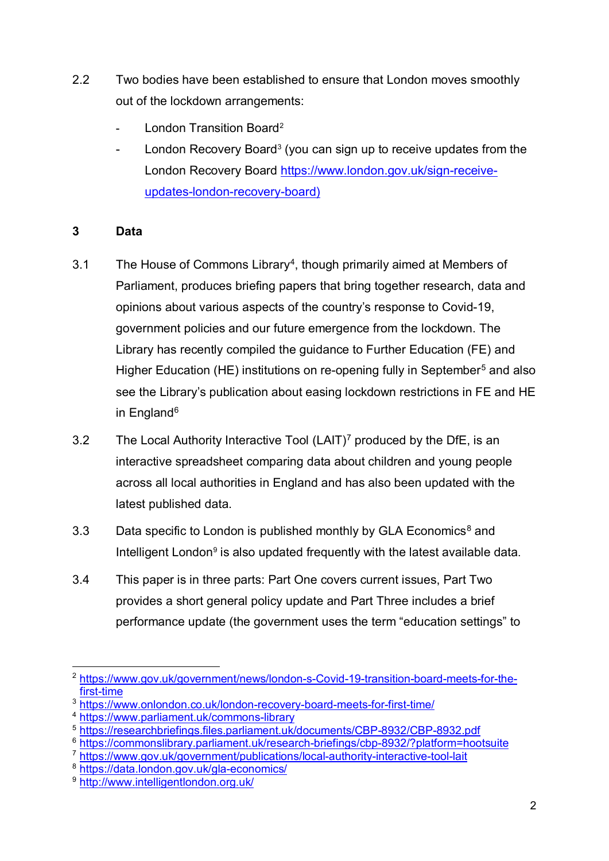- 2.2 Two bodies have been established to ensure that London moves smoothly out of the lockdown arrangements:
	- London Transition Board<sup>[2](#page-1-0)</sup>
	- London Recovery Board<sup>3</sup> (you can sign up to receive updates from the London Recovery Board [https://www.london.gov.uk/sign-receive](https://www.london.gov.uk/sign-receive-updates-london-recovery-board)[updates-london-recovery-board\)](https://www.london.gov.uk/sign-receive-updates-london-recovery-board)

#### **3 Data**

- 3.1 The House of Commons Library<sup>[4](#page-1-2)</sup>, though primarily aimed at Members of Parliament, produces briefing papers that bring together research, data and opinions about various aspects of the country's response to Covid-19, government policies and our future emergence from the lockdown. The Library has recently compiled the guidance to Further Education (FE) and Higher Education (HE) institutions on re-opening fully in September<sup>[5](#page-1-3)</sup> and also see the Library's publication about easing lockdown restrictions in FE and HE in England<sup>6</sup>
- 3.2 The Local Authority Interactive Tool  $(LAIT)<sup>7</sup>$  $(LAIT)<sup>7</sup>$  $(LAIT)<sup>7</sup>$  produced by the DfE, is an interactive spreadsheet comparing data about children and young people across all local authorities in England and has also been updated with the latest published data.
- 3.3 Data specific to London is published monthly by GLA Economics<sup>8</sup> and Intelligent London<sup>[9](#page-1-7)</sup> is also updated frequently with the latest available data.
- 3.4 This paper is in three parts: Part One covers current issues, Part Two provides a short general policy update and Part Three includes a brief performance update (the government uses the term "education settings" to

<span id="page-1-0"></span> <sup>2</sup> [https://www.gov.uk/government/news/london-s-Covid-19-transition-board-meets-for-the](https://www.gov.uk/government/news/london-s-Covid-19-transition-board-meets-for-the-first-time)[first-time](https://www.gov.uk/government/news/london-s-Covid-19-transition-board-meets-for-the-first-time)

<span id="page-1-1"></span><sup>&</sup>lt;sup>3</sup> <https://www.onlondon.co.uk/london-recovery-board-meets-for-first-time/>

<span id="page-1-2"></span><sup>4</sup> <https://www.parliament.uk/commons-library>

<span id="page-1-3"></span><sup>5</sup> <https://researchbriefings.files.parliament.uk/documents/CBP-8932/CBP-8932.pdf>

<span id="page-1-4"></span><sup>6</sup> <https://commonslibrary.parliament.uk/research-briefings/cbp-8932/?platform=hootsuite>

<span id="page-1-5"></span><sup>7</sup> <https://www.gov.uk/government/publications/local-authority-interactive-tool-lait>

<span id="page-1-6"></span><sup>8</sup> <https://data.london.gov.uk/gla-economics/>

<span id="page-1-7"></span><sup>9</sup> <http://www.intelligentlondon.org.uk/>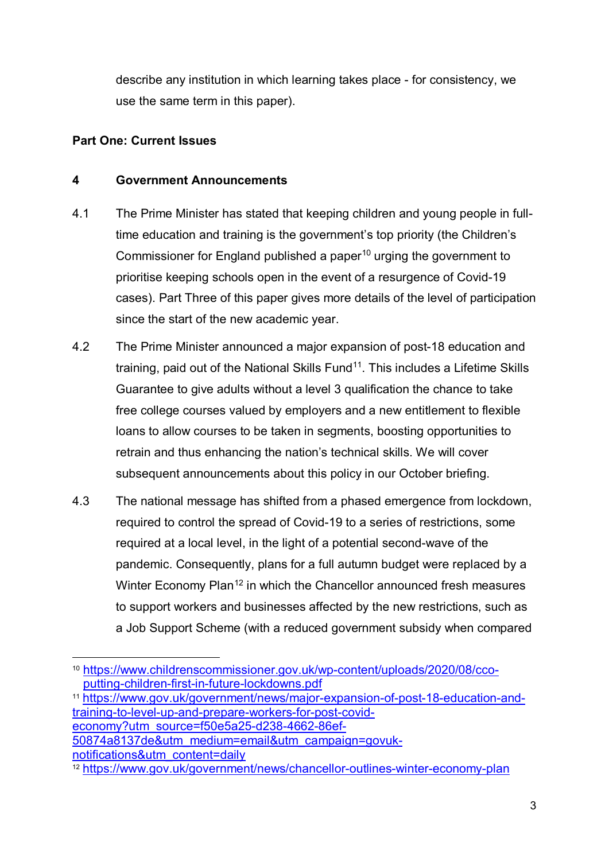describe any institution in which learning takes place - for consistency, we use the same term in this paper).

#### **Part One: Current Issues**

#### **4 Government Announcements**

- 4.1 The Prime Minister has stated that keeping children and young people in fulltime education and training is the government's top priority (the Children's Commissioner for England published a paper<sup>[10](#page-2-0)</sup> urging the government to prioritise keeping schools open in the event of a resurgence of Covid-19 cases). Part Three of this paper gives more details of the level of participation since the start of the new academic year.
- 4.2 The Prime Minister announced a major expansion of post-18 education and training, paid out of the National Skills  $Fund<sup>11</sup>$ . This includes a Lifetime Skills Guarantee to give adults without a level 3 qualification the chance to take free college courses valued by employers and a new entitlement to flexible loans to allow courses to be taken in segments, boosting opportunities to retrain and thus enhancing the nation's technical skills. We will cover subsequent announcements about this policy in our October briefing.
- 4.3 The national message has shifted from a phased emergence from lockdown, required to control the spread of Covid-19 to a series of restrictions, some required at a local level, in the light of a potential second-wave of the pandemic. Consequently, plans for a full autumn budget were replaced by a Winter Economy Plan<sup>[12](#page-2-2)</sup> in which the Chancellor announced fresh measures to support workers and businesses affected by the new restrictions, such as a Job Support Scheme (with a reduced government subsidy when compared

<span id="page-2-1"></span><sup>11</sup> [https://www.gov.uk/government/news/major-expansion-of-post-18-education-and](https://www.gov.uk/government/news/major-expansion-of-post-18-education-and-training-to-level-up-and-prepare-workers-for-post-covid-economy?utm_source=f50e5a25-d238-4662-86ef-50874a8137de&utm_medium=email&utm_campaign=govuk-notifications&utm_content=daily)[training-to-level-up-and-prepare-workers-for-post-covid](https://www.gov.uk/government/news/major-expansion-of-post-18-education-and-training-to-level-up-and-prepare-workers-for-post-covid-economy?utm_source=f50e5a25-d238-4662-86ef-50874a8137de&utm_medium=email&utm_campaign=govuk-notifications&utm_content=daily)[economy?utm\\_source=f50e5a25-d238-4662-86ef-](https://www.gov.uk/government/news/major-expansion-of-post-18-education-and-training-to-level-up-and-prepare-workers-for-post-covid-economy?utm_source=f50e5a25-d238-4662-86ef-50874a8137de&utm_medium=email&utm_campaign=govuk-notifications&utm_content=daily)[50874a8137de&utm\\_medium=email&utm\\_campaign=govuk](https://www.gov.uk/government/news/major-expansion-of-post-18-education-and-training-to-level-up-and-prepare-workers-for-post-covid-economy?utm_source=f50e5a25-d238-4662-86ef-50874a8137de&utm_medium=email&utm_campaign=govuk-notifications&utm_content=daily)[notifications&utm\\_content=daily](https://www.gov.uk/government/news/major-expansion-of-post-18-education-and-training-to-level-up-and-prepare-workers-for-post-covid-economy?utm_source=f50e5a25-d238-4662-86ef-50874a8137de&utm_medium=email&utm_campaign=govuk-notifications&utm_content=daily)

<span id="page-2-0"></span> <sup>10</sup> [https://www.childrenscommissioner.gov.uk/wp-content/uploads/2020/08/cco](https://www.childrenscommissioner.gov.uk/wp-content/uploads/2020/08/cco-putting-children-first-in-future-lockdowns.pdf)[putting-children-first-in-future-lockdowns.pdf](https://www.childrenscommissioner.gov.uk/wp-content/uploads/2020/08/cco-putting-children-first-in-future-lockdowns.pdf)

<span id="page-2-2"></span><sup>12</sup> <https://www.gov.uk/government/news/chancellor-outlines-winter-economy-plan>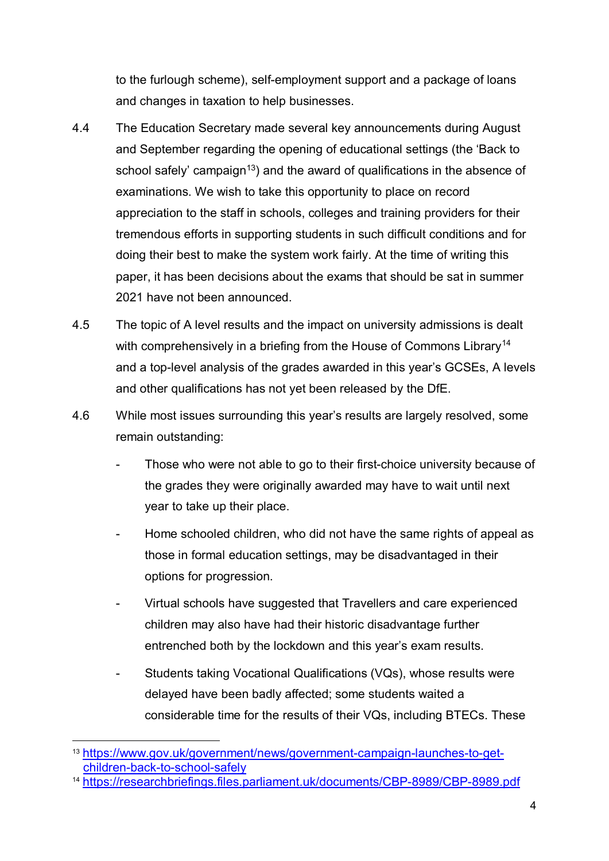to the furlough scheme), self-employment support and a package of loans and changes in taxation to help businesses.

- 4.4 The Education Secretary made several key announcements during August and September regarding the opening of educational settings (the 'Back to school safely' campaign<sup>13</sup>) and the award of qualifications in the absence of examinations. We wish to take this opportunity to place on record appreciation to the staff in schools, colleges and training providers for their tremendous efforts in supporting students in such difficult conditions and for doing their best to make the system work fairly. At the time of writing this paper, it has been decisions about the exams that should be sat in summer 2021 have not been announced.
- 4.5 The topic of A level results and the impact on university admissions is dealt with comprehensively in a briefing from the House of Commons Library<sup>[14](#page-3-1)</sup> and a top-level analysis of the grades awarded in this year's GCSEs, A levels and other qualifications has not yet been released by the DfE.
- 4.6 While most issues surrounding this year's results are largely resolved, some remain outstanding:
	- Those who were not able to go to their first-choice university because of the grades they were originally awarded may have to wait until next year to take up their place.
	- Home schooled children, who did not have the same rights of appeal as those in formal education settings, may be disadvantaged in their options for progression.
	- Virtual schools have suggested that Travellers and care experienced children may also have had their historic disadvantage further entrenched both by the lockdown and this year's exam results.
	- Students taking Vocational Qualifications (VQs), whose results were delayed have been badly affected; some students waited a considerable time for the results of their VQs, including BTECs. These

<span id="page-3-0"></span> <sup>13</sup> [https://www.gov.uk/government/news/government-campaign-launches-to-get](https://www.gov.uk/government/news/government-campaign-launches-to-get-children-back-to-school-safely)[children-back-to-school-safely](https://www.gov.uk/government/news/government-campaign-launches-to-get-children-back-to-school-safely)

<span id="page-3-1"></span><sup>14</sup> <https://researchbriefings.files.parliament.uk/documents/CBP-8989/CBP-8989.pdf>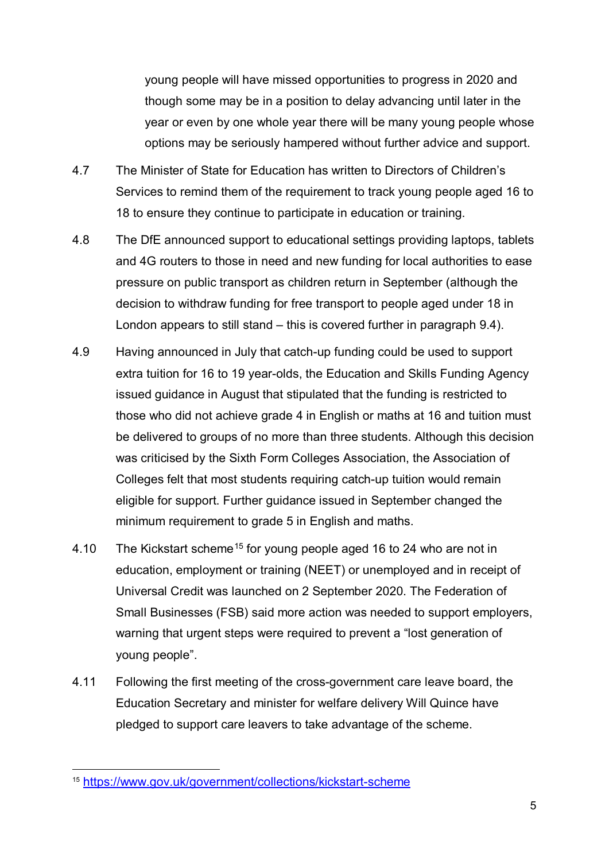young people will have missed opportunities to progress in 2020 and though some may be in a position to delay advancing until later in the year or even by one whole year there will be many young people whose options may be seriously hampered without further advice and support.

- 4.7 The Minister of State for Education has written to Directors of Children's Services to remind them of the requirement to track young people aged 16 to 18 to ensure they continue to participate in education or training.
- 4.8 The DfE announced support to educational settings providing laptops, tablets and 4G routers to those in need and new funding for local authorities to ease pressure on public transport as children return in September (although the decision to withdraw funding for free transport to people aged under 18 in London appears to still stand – this is covered further in paragraph [9.4\)](#page-11-0).
- 4.9 Having announced in July that catch-up funding could be used to support extra tuition for 16 to 19 year-olds, the Education and Skills Funding Agency issued guidance in August that stipulated that the funding is restricted to those who did not achieve grade 4 in English or maths at 16 and tuition must be delivered to groups of no more than three students. Although this decision was criticised by the Sixth Form Colleges Association, the Association of Colleges felt that most students requiring catch-up tuition would remain eligible for support. Further guidance issued in September changed the minimum requirement to grade 5 in English and maths.
- 4.10 The Kickstart scheme<sup>[15](#page-4-0)</sup> for young people aged 16 to 24 who are not in education, employment or training (NEET) or unemployed and in receipt of Universal Credit was launched on 2 September 2020. The Federation of Small Businesses (FSB) said more action was needed to support employers, warning that urgent steps were required to prevent a "lost generation of young people".
- 4.11 Following the first meeting of the cross-government care leave board, the Education Secretary and minister for welfare delivery Will Quince have pledged to support care leavers to take advantage of the scheme.

<span id="page-4-0"></span> <sup>15</sup> <https://www.gov.uk/government/collections/kickstart-scheme>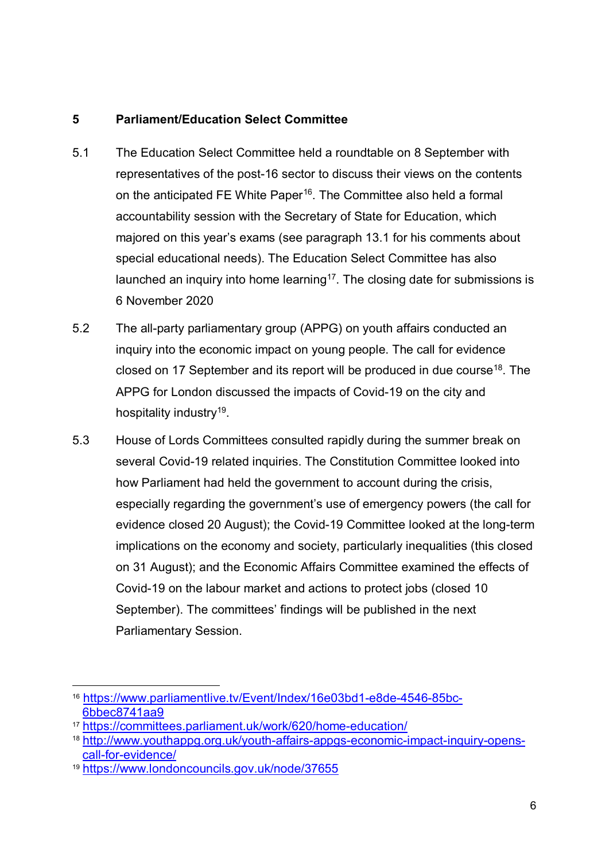#### **5 Parliament/Education Select Committee**

- 5.1 The Education Select Committee held a roundtable on 8 September with representatives of the post-16 sector to discuss their views on the contents on the anticipated FE White Paper<sup>[16](#page-5-0)</sup>. The Committee also held a formal accountability session with the Secretary of State for Education, which majored on this year's exams (see paragraph [13.1](#page-22-0) for his comments about special educational needs). The Education Select Committee has also launched an inquiry into home learning<sup>17</sup>. The closing date for submissions is 6 November 2020
- 5.2 The all-party parliamentary group (APPG) on youth affairs conducted an inquiry into the economic impact on young people. The call for evidence closed on 17 September and its report will be produced in due course<sup>[18](#page-5-2)</sup>. The APPG for London discussed the impacts of Covid-19 on the city and hospitality industry<sup>19</sup>.
- 5.3 House of Lords Committees consulted rapidly during the summer break on several Covid-19 related inquiries. The Constitution Committee looked into how Parliament had held the government to account during the crisis, especially regarding the government's use of emergency powers (the call for evidence closed 20 August); the Covid-19 Committee looked at the long-term implications on the economy and society, particularly inequalities (this closed on 31 August); and the Economic Affairs Committee examined the effects of Covid-19 on the labour market and actions to protect jobs (closed 10 September). The committees' findings will be published in the next Parliamentary Session.

<span id="page-5-0"></span> <sup>16</sup> [https://www.parliamentlive.tv/Event/Index/16e03bd1-e8de-4546-85bc-](https://www.parliamentlive.tv/Event/Index/16e03bd1-e8de-4546-85bc-6bbec8741aa9)[6bbec8741aa9](https://www.parliamentlive.tv/Event/Index/16e03bd1-e8de-4546-85bc-6bbec8741aa9)

<span id="page-5-1"></span><sup>17</sup> <https://committees.parliament.uk/work/620/home-education/>

<span id="page-5-2"></span><sup>18</sup> [http://www.youthappg.org.uk/youth-affairs-appgs-economic-impact-inquiry-opens](http://www.youthappg.org.uk/youth-affairs-appgs-economic-impact-inquiry-opens-call-for-evidence/)[call-for-evidence/](http://www.youthappg.org.uk/youth-affairs-appgs-economic-impact-inquiry-opens-call-for-evidence/)

<span id="page-5-3"></span><sup>19</sup> <https://www.londoncouncils.gov.uk/node/37655>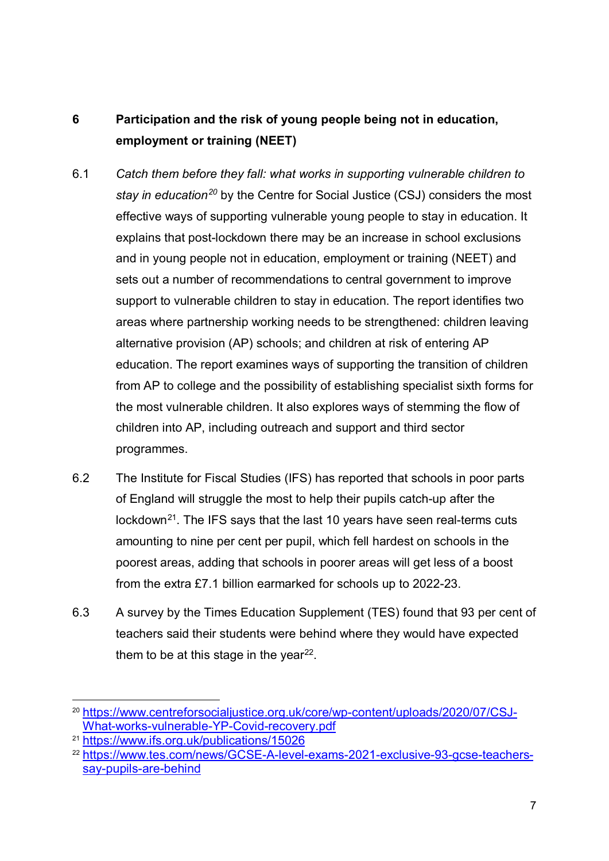## **6 Participation and the risk of young people being not in education, employment or training (NEET)**

- 6.1 *Catch them before they fall: what works in supporting vulnerable children to stay in education[20](#page-6-0)* by the Centre for Social Justice (CSJ) considers the most effective ways of supporting vulnerable young people to stay in education. It explains that post-lockdown there may be an increase in school exclusions and in young people not in education, employment or training (NEET) and sets out a number of recommendations to central government to improve support to vulnerable children to stay in education. The report identifies two areas where partnership working needs to be strengthened: children leaving alternative provision (AP) schools; and children at risk of entering AP education. The report examines ways of supporting the transition of children from AP to college and the possibility of establishing specialist sixth forms for the most vulnerable children. It also explores ways of stemming the flow of children into AP, including outreach and support and third sector programmes.
- 6.2 The Institute for Fiscal Studies (IFS) has reported that schools in poor parts of England will struggle the most to help their pupils catch-up after the lockdown<sup>21</sup>. The IFS says that the last 10 years have seen real-terms cuts amounting to nine per cent per pupil, which fell hardest on schools in the poorest areas, adding that schools in poorer areas will get less of a boost from the extra £7.1 billion earmarked for schools up to 2022-23.
- 6.3 A survey by the Times Education Supplement (TES) found that 93 per cent of teachers said their students were behind where they would have expected them to be at this stage in the year $^{22}$  $^{22}$  $^{22}$ .

<span id="page-6-0"></span> <sup>20</sup> [https://www.centreforsocialjustice.org.uk/core/wp-content/uploads/2020/07/CSJ-](https://www.centreforsocialjustice.org.uk/core/wp-content/uploads/2020/07/CSJ-What-works-vulnerable-YP-Covid-recovery.pdf)[What-works-vulnerable-YP-Covid-recovery.pdf](https://www.centreforsocialjustice.org.uk/core/wp-content/uploads/2020/07/CSJ-What-works-vulnerable-YP-Covid-recovery.pdf)

<span id="page-6-1"></span><sup>21</sup> <https://www.ifs.org.uk/publications/15026>

<span id="page-6-2"></span><sup>22</sup> [https://www.tes.com/news/GCSE-A-level-exams-2021-exclusive-93-gcse-teachers](https://www.tes.com/news/GCSE-A-level-exams-2021-exclusive-93-gcse-teachers-say-pupils-are-behind)[say-pupils-are-behind](https://www.tes.com/news/GCSE-A-level-exams-2021-exclusive-93-gcse-teachers-say-pupils-are-behind)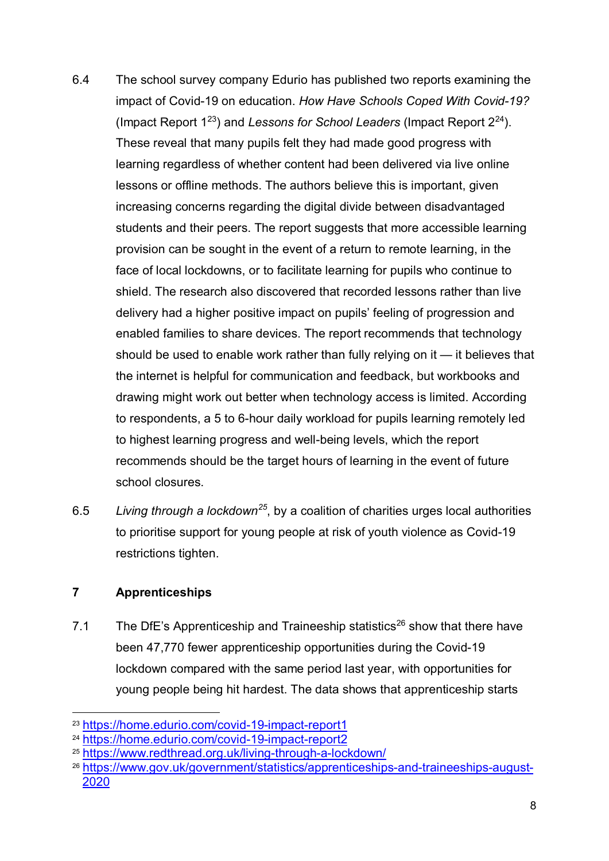- 6.4 The school survey company Edurio has published two reports examining the impact of Covid-19 on education. *How Have Schools Coped With Covid-19?* (Impact Report 1[23\)](#page-7-0) and *Lessons for School Leaders* (Impact Report [224\)](#page-7-1). These reveal that many pupils felt they had made good progress with learning regardless of whether content had been delivered via live online lessons or offline methods. The authors believe this is important, given increasing concerns regarding the digital divide between disadvantaged students and their peers. The report suggests that more accessible learning provision can be sought in the event of a return to remote learning, in the face of local lockdowns, or to facilitate learning for pupils who continue to shield. The research also discovered that recorded lessons rather than live delivery had a higher positive impact on pupils' feeling of progression and enabled families to share devices. The report recommends that technology should be used to enable work rather than fully relying on it — it believes that the internet is helpful for communication and feedback, but workbooks and drawing might work out better when technology access is limited. According to respondents, a 5 to 6-hour daily workload for pupils learning remotely led to highest learning progress and well-being levels, which the report recommends should be the target hours of learning in the event of future school closures.
- 6.5 *Living through a lockdown[25](#page-7-2)*, by a coalition of charities urges local authorities to prioritise support for young people at risk of youth violence as Covid-19 restrictions tighten.

#### **7 Apprenticeships**

7.1 The DfE's Apprenticeship and Traineeship statistics<sup>[26](#page-7-3)</sup> show that there have been 47,770 fewer apprenticeship opportunities during the Covid-19 lockdown compared with the same period last year, with opportunities for young people being hit hardest. The data shows that apprenticeship starts

<span id="page-7-0"></span> <sup>23</sup> <https://home.edurio.com/covid-19-impact-report1>

<span id="page-7-1"></span><sup>24</sup> <https://home.edurio.com/covid-19-impact-report2>

<span id="page-7-2"></span><sup>25</sup> <https://www.redthread.org.uk/living-through-a-lockdown/>

<span id="page-7-3"></span><sup>26</sup> [https://www.gov.uk/government/statistics/apprenticeships-and-traineeships-august-](https://www.gov.uk/government/statistics/apprenticeships-and-traineeships-august-2020)[2020](https://www.gov.uk/government/statistics/apprenticeships-and-traineeships-august-2020)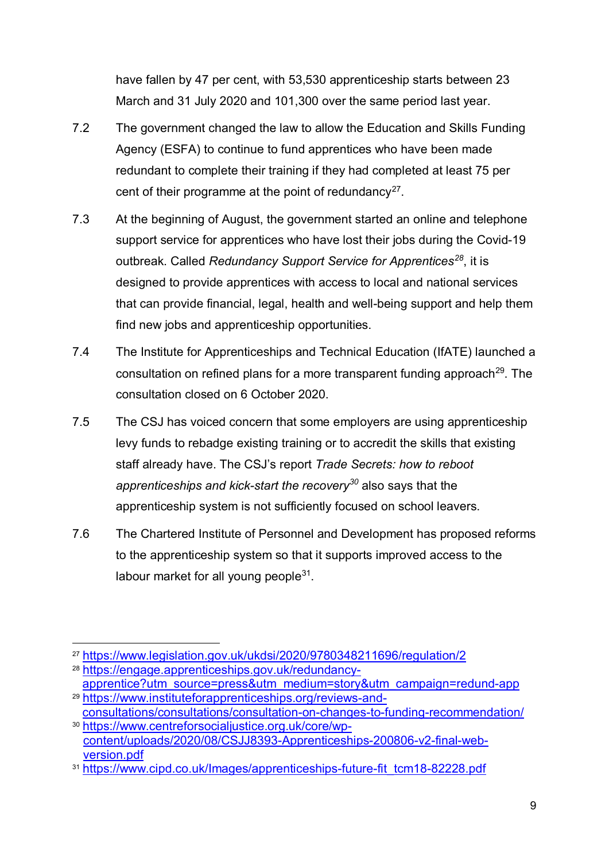have fallen by 47 per cent, with 53,530 apprenticeship starts between 23 March and 31 July 2020 and 101,300 over the same period last year.

- 7.2 The government changed the law to allow the Education and Skills Funding Agency (ESFA) to continue to fund apprentices who have been made redundant to complete their training if they had completed at least 75 per cent of their programme at the point of redundancy<sup>27</sup>.
- 7.3 At the beginning of August, the government started an online and telephone support service for apprentices who have lost their jobs during the Covid-19 outbreak. Called *Redundancy Support Service for Apprentices[28](#page-8-1)*, it is designed to provide apprentices with access to local and national services that can provide financial, legal, health and well-being support and help them find new jobs and apprenticeship opportunities.
- 7.4 The Institute for Apprenticeships and Technical Education (IfATE) launched a consultation on refined plans for a more transparent funding approach<sup>[29](#page-8-2)</sup>. The consultation closed on 6 October 2020.
- 7.5 The CSJ has voiced concern that some employers are using apprenticeship levy funds to rebadge existing training or to accredit the skills that existing staff already have. The CSJ's report *Trade Secrets: how to reboot apprenticeships and kick-start the recovery[30](#page-8-3)* also says that the apprenticeship system is not sufficiently focused on school leavers.
- 7.6 The Chartered Institute of Personnel and Development has proposed reforms to the apprenticeship system so that it supports improved access to the labour market for all young people $31$ .

<span id="page-8-0"></span> <sup>27</sup> <https://www.legislation.gov.uk/ukdsi/2020/9780348211696/regulation/2>

<span id="page-8-1"></span><sup>28</sup> [https://engage.apprenticeships.gov.uk/redundancy-](https://engage.apprenticeships.gov.uk/redundancy-apprentice?utm_source=press&utm_medium=story&utm_campaign=redund-app)

[apprentice?utm\\_source=press&utm\\_medium=story&utm\\_campaign=redund-app](https://engage.apprenticeships.gov.uk/redundancy-apprentice?utm_source=press&utm_medium=story&utm_campaign=redund-app) <sup>29</sup> [https://www.instituteforapprenticeships.org/reviews-and-](https://www.instituteforapprenticeships.org/reviews-and-consultations/consultations/consultation-on-changes-to-funding-recommendation/)

<span id="page-8-3"></span><span id="page-8-2"></span>[consultations/consultations/consultation-on-changes-to-funding-recommendation/](https://www.instituteforapprenticeships.org/reviews-and-consultations/consultations/consultation-on-changes-to-funding-recommendation/) <sup>30</sup> [https://www.centreforsocialjustice.org.uk/core/wp](https://www.centreforsocialjustice.org.uk/core/wp-content/uploads/2020/08/CSJJ8393-Apprenticeships-200806-v2-final-web-version.pdf)[content/uploads/2020/08/CSJJ8393-Apprenticeships-200806-v2-final-web-](https://www.centreforsocialjustice.org.uk/core/wp-content/uploads/2020/08/CSJJ8393-Apprenticeships-200806-v2-final-web-version.pdf)

<span id="page-8-4"></span>[version.pdf](https://www.centreforsocialjustice.org.uk/core/wp-content/uploads/2020/08/CSJJ8393-Apprenticeships-200806-v2-final-web-version.pdf) <sup>31</sup> [https://www.cipd.co.uk/Images/apprenticeships-future-fit\\_tcm18-82228.pdf](https://www.cipd.co.uk/Images/apprenticeships-future-fit_tcm18-82228.pdf)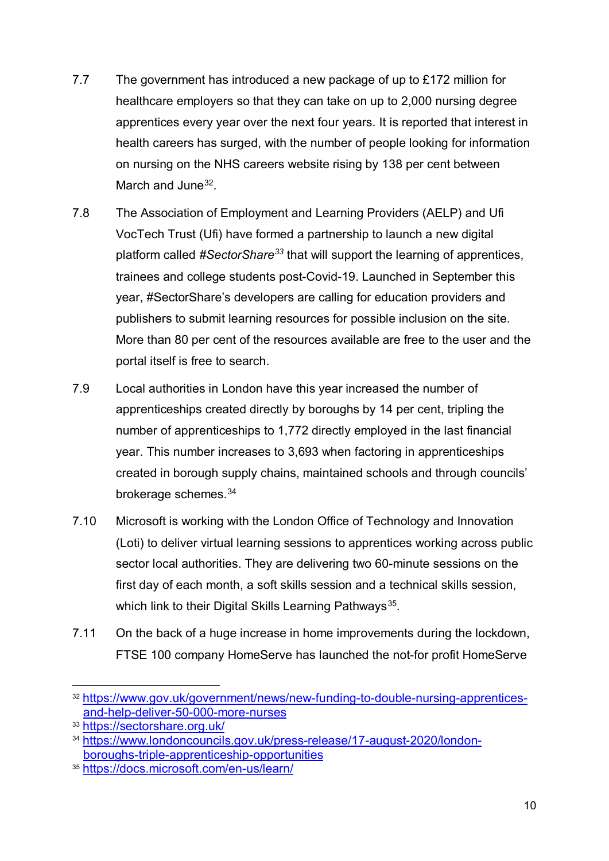- 7.7 The government has introduced a new package of up to £172 million for healthcare employers so that they can take on up to 2,000 nursing degree apprentices every year over the next four years. It is reported that interest in health careers has surged, with the number of people looking for information on nursing on the NHS careers website rising by 138 per cent between March and June<sup>32</sup>
- 7.8 The Association of Employment and Learning Providers (AELP) and Ufi VocTech Trust (Ufi) have formed a partnership to launch a new digital platform called *#SectorShare[33](#page-9-1)* that will support the learning of apprentices, trainees and college students post-Covid-19. Launched in September this year, #SectorShare's developers are calling for education providers and publishers to submit learning resources for possible inclusion on the site. More than 80 per cent of the resources available are free to the user and the portal itself is free to search.
- 7.9 Local authorities in London have this year increased the number of apprenticeships created directly by boroughs by 14 per cent, tripling the number of apprenticeships to 1,772 directly employed in the last financial year. This number increases to 3,693 when factoring in apprenticeships created in borough supply chains, maintained schools and through councils' brokerage schemes.[34](#page-9-2)
- 7.10 Microsoft is working with the London Office of Technology and Innovation (Loti) to deliver virtual learning sessions to apprentices working across public sector local authorities. They are delivering two 60-minute sessions on the first day of each month, a soft skills session and a technical skills session, which link to their Digital Skills Learning Pathways<sup>35</sup>.
- 7.11 On the back of a huge increase in home improvements during the lockdown, FTSE 100 company HomeServe has launched the not-for profit HomeServe

<span id="page-9-0"></span> <sup>32</sup> [https://www.gov.uk/government/news/new-funding-to-double-nursing-apprentices](https://www.gov.uk/government/news/new-funding-to-double-nursing-apprentices-and-help-deliver-50-000-more-nurses)[and-help-deliver-50-000-more-nurses](https://www.gov.uk/government/news/new-funding-to-double-nursing-apprentices-and-help-deliver-50-000-more-nurses)

<span id="page-9-1"></span><sup>33</sup> <https://sectorshare.org.uk/>

<span id="page-9-2"></span><sup>34</sup> [https://www.londoncouncils.gov.uk/press-release/17-august-2020/london](https://www.londoncouncils.gov.uk/press-release/17-august-2020/london-boroughs-triple-apprenticeship-opportunities)[boroughs-triple-apprenticeship-opportunities](https://www.londoncouncils.gov.uk/press-release/17-august-2020/london-boroughs-triple-apprenticeship-opportunities)

<span id="page-9-3"></span><sup>35</sup> <https://docs.microsoft.com/en-us/learn/>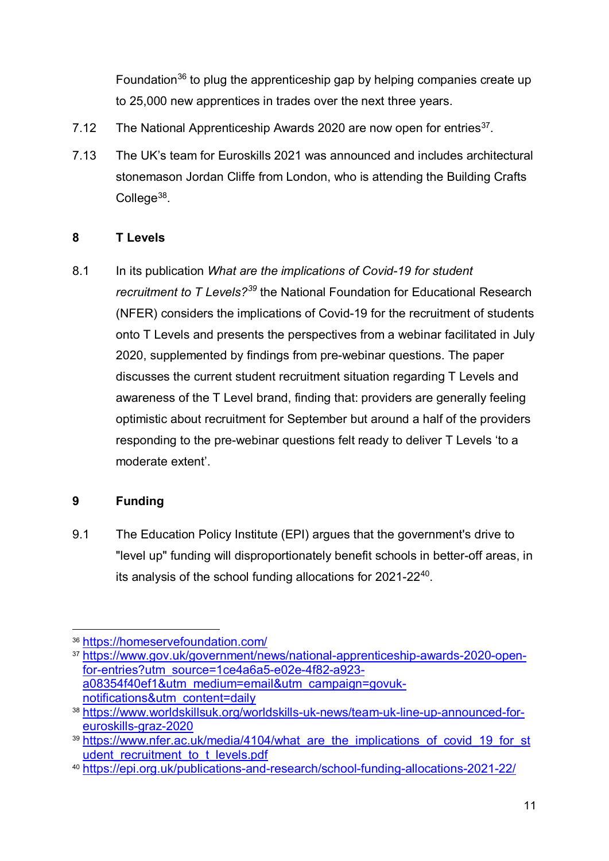Foundation<sup>[36](#page-10-0)</sup> to plug the apprenticeship gap by helping companies create up to 25,000 new apprentices in trades over the next three years.

- 7.12 The National Apprenticeship Awards 2020 are now open for entries<sup>[37](#page-10-1)</sup>.
- 7.13 The UK's team for Euroskills 2021 was announced and includes architectural stonemason Jordan Cliffe from London, who is attending the Building Crafts College<sup>[38](#page-10-2)</sup>.

#### **8 T Levels**

8.1 In its publication *What are the implications of Covid-19 for student recruitment to T Levels?[39](#page-10-3)* the National Foundation for Educational Research (NFER) considers the implications of Covid-19 for the recruitment of students onto T Levels and presents the perspectives from a webinar facilitated in July 2020, supplemented by findings from pre-webinar questions. The paper discusses the current student recruitment situation regarding T Levels and awareness of the T Level brand, finding that: providers are generally feeling optimistic about recruitment for September but around a half of the providers responding to the pre-webinar questions felt ready to deliver T Levels 'to a moderate extent'.

#### <span id="page-10-5"></span>**9 Funding**

9.1 The Education Policy Institute (EPI) argues that the government's drive to "level up" funding will disproportionately benefit schools in better-off areas, in its analysis of the school funding allocations for 2021-2[240](#page-10-4).

<span id="page-10-0"></span> <sup>36</sup> <https://homeservefoundation.com/>

<span id="page-10-1"></span><sup>37</sup> [https://www.gov.uk/government/news/national-apprenticeship-awards-2020-open](https://www.gov.uk/government/news/national-apprenticeship-awards-2020-open-for-entries?utm_source=1ce4a6a5-e02e-4f82-a923-a08354f40ef1&utm_medium=email&utm_campaign=govuk-notifications&utm_content=daily)[for-entries?utm\\_source=1ce4a6a5-e02e-4f82-a923](https://www.gov.uk/government/news/national-apprenticeship-awards-2020-open-for-entries?utm_source=1ce4a6a5-e02e-4f82-a923-a08354f40ef1&utm_medium=email&utm_campaign=govuk-notifications&utm_content=daily) [a08354f40ef1&utm\\_medium=email&utm\\_campaign=govuk](https://www.gov.uk/government/news/national-apprenticeship-awards-2020-open-for-entries?utm_source=1ce4a6a5-e02e-4f82-a923-a08354f40ef1&utm_medium=email&utm_campaign=govuk-notifications&utm_content=daily)[notifications&utm\\_content=daily](https://www.gov.uk/government/news/national-apprenticeship-awards-2020-open-for-entries?utm_source=1ce4a6a5-e02e-4f82-a923-a08354f40ef1&utm_medium=email&utm_campaign=govuk-notifications&utm_content=daily)

<span id="page-10-2"></span><sup>38</sup> [https://www.worldskillsuk.org/worldskills-uk-news/team-uk-line-up-announced-for](https://www.worldskillsuk.org/worldskills-uk-news/team-uk-line-up-announced-for-euroskills-graz-2020)[euroskills-graz-2020](https://www.worldskillsuk.org/worldskills-uk-news/team-uk-line-up-announced-for-euroskills-graz-2020)

<span id="page-10-3"></span><sup>&</sup>lt;sup>39</sup> https://www.nfer.ac.uk/media/4104/what\_are\_the\_implications\_of\_covid\_19\_for\_st [udent\\_recruitment\\_to\\_t\\_levels.pdf](https://www.nfer.ac.uk/media/4104/what_are_the_implications_of_covid_19_for_student_recruitment_to_t_levels.pdf)

<span id="page-10-4"></span><sup>40</sup> <https://epi.org.uk/publications-and-research/school-funding-allocations-2021-22/>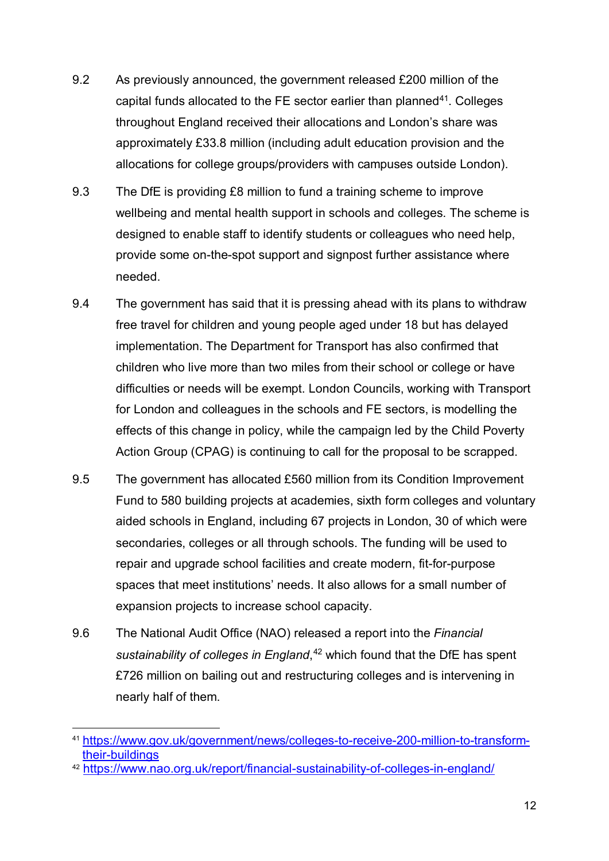- 9.2 As previously announced, the government released £200 million of the capital funds allocated to the FE sector earlier than planned<sup>[41](#page-11-1)</sup>. Colleges throughout England received their allocations and London's share was approximately £33.8 million (including adult education provision and the allocations for college groups/providers with campuses outside London).
- 9.3 The DfE is providing £8 million to fund a training scheme to improve wellbeing and mental health support in schools and colleges. The scheme is designed to enable staff to identify students or colleagues who need help, provide some on-the-spot support and signpost further assistance where needed.
- <span id="page-11-0"></span>9.4 The government has said that it is pressing ahead with its plans to withdraw free travel for children and young people aged under 18 but has delayed implementation. The Department for Transport has also confirmed that children who live more than two miles from their school or college or have difficulties or needs will be exempt. London Councils, working with Transport for London and colleagues in the schools and FE sectors, is modelling the effects of this change in policy, while the campaign led by the Child Poverty Action Group (CPAG) is continuing to call for the proposal to be scrapped.
- 9.5 The government has allocated £560 million from its Condition Improvement Fund to 580 building projects at academies, sixth form colleges and voluntary aided schools in England, including 67 projects in London, 30 of which were secondaries, colleges or all through schools. The funding will be used to repair and upgrade school facilities and create modern, fit-for-purpose spaces that meet institutions' needs. It also allows for a small number of expansion projects to increase school capacity.
- 9.6 The National Audit Office (NAO) released a report into the *Financial sustainability of colleges in England*, [42](#page-11-2) which found that the DfE has spent £726 million on bailing out and restructuring colleges and is intervening in nearly half of them.

<span id="page-11-1"></span> <sup>41</sup> [https://www.gov.uk/government/news/colleges-to-receive-200-million-to-transform](https://www.gov.uk/government/news/colleges-to-receive-200-million-to-transform-their-buildings)[their-buildings](https://www.gov.uk/government/news/colleges-to-receive-200-million-to-transform-their-buildings)

<span id="page-11-2"></span><sup>42</sup> <https://www.nao.org.uk/report/financial-sustainability-of-colleges-in-england/>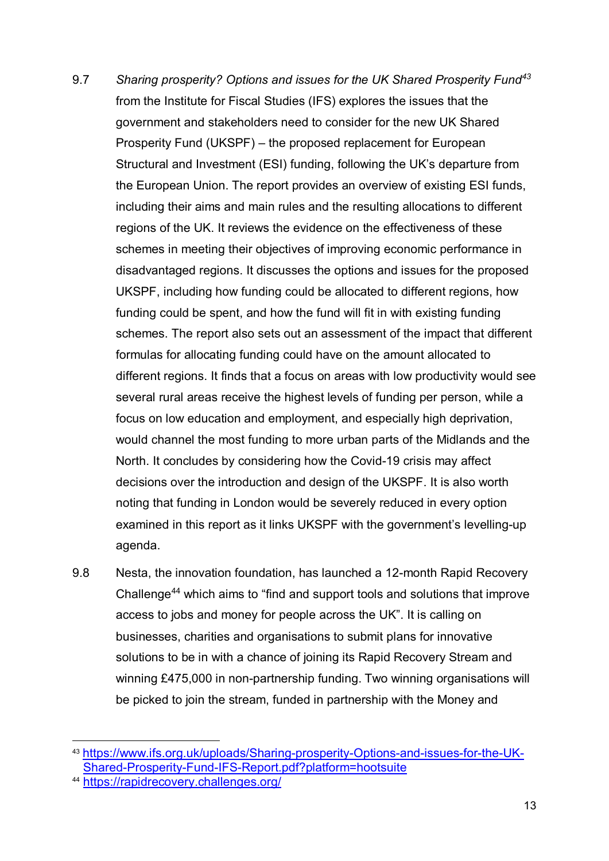- 9.7 *Sharing prosperity? Options and issues for the UK Shared Prosperity Fund[43](#page-12-0)* from the Institute for Fiscal Studies (IFS) explores the issues that the government and stakeholders need to consider for the new UK Shared Prosperity Fund (UKSPF) – the proposed replacement for European Structural and Investment (ESI) funding, following the UK's departure from the European Union. The report provides an overview of existing ESI funds, including their aims and main rules and the resulting allocations to different regions of the UK. It reviews the evidence on the effectiveness of these schemes in meeting their objectives of improving economic performance in disadvantaged regions. It discusses the options and issues for the proposed UKSPF, including how funding could be allocated to different regions, how funding could be spent, and how the fund will fit in with existing funding schemes. The report also sets out an assessment of the impact that different formulas for allocating funding could have on the amount allocated to different regions. It finds that a focus on areas with low productivity would see several rural areas receive the highest levels of funding per person, while a focus on low education and employment, and especially high deprivation, would channel the most funding to more urban parts of the Midlands and the North. It concludes by considering how the Covid-19 crisis may affect decisions over the introduction and design of the UKSPF. It is also worth noting that funding in London would be severely reduced in every option examined in this report as it links UKSPF with the government's levelling-up agenda.
- 9.8 Nesta, the innovation foundation, has launched a 12-month Rapid Recovery Challenge[44](#page-12-1) which aims to "find and support tools and solutions that improve access to jobs and money for people across the UK". It is calling on businesses, charities and organisations to submit plans for innovative solutions to be in with a chance of joining its Rapid Recovery Stream and winning £475,000 in non-partnership funding. Two winning organisations will be picked to join the stream, funded in partnership with the Money and

<span id="page-12-0"></span> <sup>43</sup> [https://www.ifs.org.uk/uploads/Sharing-prosperity-Options-and-issues-for-the-UK-](https://www.ifs.org.uk/uploads/Sharing-prosperity-Options-and-issues-for-the-UK-Shared-Prosperity-Fund-IFS-Report.pdf?platform=hootsuite)[Shared-Prosperity-Fund-IFS-Report.pdf?platform=hootsuite](https://www.ifs.org.uk/uploads/Sharing-prosperity-Options-and-issues-for-the-UK-Shared-Prosperity-Fund-IFS-Report.pdf?platform=hootsuite)

<span id="page-12-1"></span><sup>44</sup> <https://rapidrecovery.challenges.org/>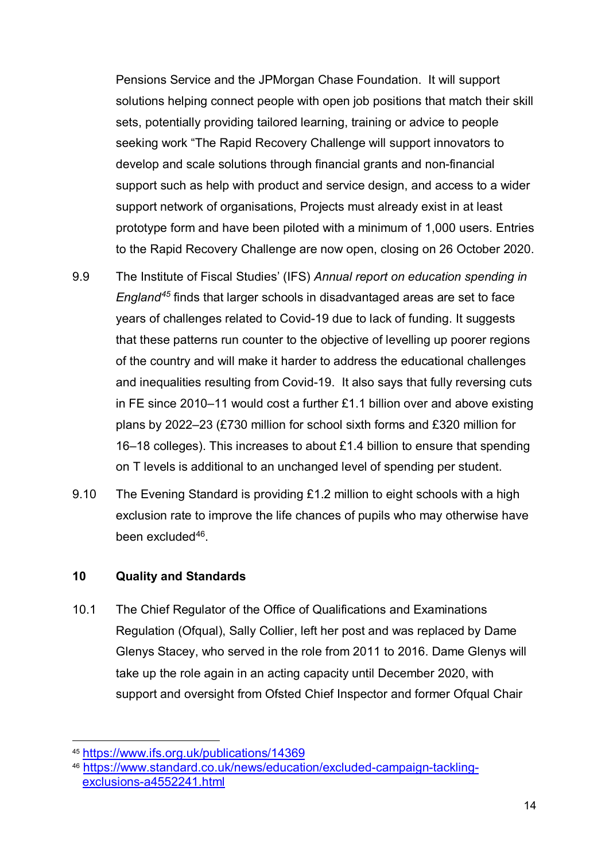Pensions Service and the JPMorgan Chase Foundation. It will support solutions helping connect people with open job positions that match their skill sets, potentially providing tailored learning, training or advice to people seeking work "The Rapid Recovery Challenge will support innovators to develop and scale solutions through financial grants and non-financial support such as help with product and service design, and access to a wider support network of organisations, Projects must already exist in at least prototype form and have been piloted with a minimum of 1,000 users. Entries to the Rapid Recovery Challenge are now open, closing on 26 October 2020.

- 9.9 The Institute of Fiscal Studies' (IFS) *Annual report on education spending in England[45](#page-13-0)* finds that larger schools in disadvantaged areas are set to face years of challenges related to Covid-19 due to lack of funding. It suggests that these patterns run counter to the objective of levelling up poorer regions of the country and will make it harder to address the educational challenges and inequalities resulting from Covid-19. It also says that fully reversing cuts in FE since 2010–11 would cost a further £1.1 billion over and above existing plans by 2022–23 (£730 million for school sixth forms and £320 million for 16–18 colleges). This increases to about £1.4 billion to ensure that spending on T levels is additional to an unchanged level of spending per student.
- 9.10 The Evening Standard is providing £1.2 million to eight schools with a high exclusion rate to improve the life chances of pupils who may otherwise have been excluded<sup>[46](#page-13-1)</sup>.

#### **10 Quality and Standards**

10.1 The Chief Regulator of the Office of Qualifications and Examinations Regulation (Ofqual), Sally Collier, left her post and was replaced by Dame Glenys Stacey, who served in the role from 2011 to 2016. Dame Glenys will take up the role again in an acting capacity until December 2020, with support and oversight from Ofsted Chief Inspector and former Ofqual Chair

<span id="page-13-0"></span> <sup>45</sup> <https://www.ifs.org.uk/publications/14369>

<span id="page-13-1"></span><sup>46</sup> [https://www.standard.co.uk/news/education/excluded-campaign-tackling](https://www.standard.co.uk/news/education/excluded-campaign-tackling-exclusions-a4552241.html)[exclusions-a4552241.html](https://www.standard.co.uk/news/education/excluded-campaign-tackling-exclusions-a4552241.html)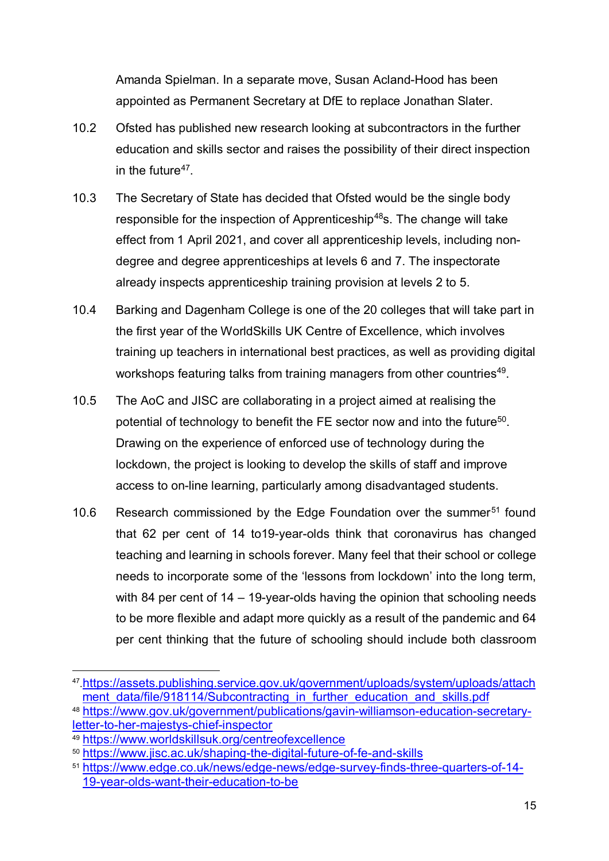Amanda Spielman. In a separate move, Susan Acland-Hood has been appointed as Permanent Secretary at DfE to replace Jonathan Slater.

- 10.2 Ofsted has published new research looking at subcontractors in the further education and skills sector and raises the possibility of their direct inspection in the future $47$ .
- 10.3 The Secretary of State has decided that Ofsted would be the single body responsible for the inspection of Apprenticeship<sup>48</sup>s. The change will take effect from 1 April 2021, and cover all apprenticeship levels, including nondegree and degree apprenticeships at levels 6 and 7. The inspectorate already inspects apprenticeship training provision at levels 2 to 5.
- 10.4 Barking and Dagenham College is one of the 20 colleges that will take part in the first year of the WorldSkills UK Centre of Excellence, which involves training up teachers in international best practices, as well as providing digital workshops featuring talks from training managers from other countries<sup>49</sup>.
- 10.5 The AoC and JISC are collaborating in a project aimed at realising the potential of technology to benefit the FE sector now and into the future<sup>50</sup>. Drawing on the experience of enforced use of technology during the lockdown, the project is looking to develop the skills of staff and improve access to on-line learning, particularly among disadvantaged students.
- 10.6 Research commissioned by the Edge Foundation over the summer<sup>[51](#page-14-4)</sup> found that 62 per cent of 14 to19-year-olds think that coronavirus has changed teaching and learning in schools forever. Many feel that their school or college needs to incorporate some of the 'lessons from lockdown' into the long term, with 84 per cent of 14 – 19-year-olds having the opinion that schooling needs to be more flexible and adapt more quickly as a result of the pandemic and 64 per cent thinking that the future of schooling should include both classroom

<span id="page-14-0"></span> <sup>47</sup>[.https://assets.publishing.service.gov.uk/government/uploads/system/uploads/attach](https://assets.publishing.service.gov.uk/government/uploads/system/uploads/attachment_data/file/918114/Subcontracting_in_further_education_and_skills.pdf) [ment\\_data/file/918114/Subcontracting\\_in\\_further\\_education\\_and\\_skills.pdf](https://assets.publishing.service.gov.uk/government/uploads/system/uploads/attachment_data/file/918114/Subcontracting_in_further_education_and_skills.pdf)

<span id="page-14-1"></span><sup>48</sup> [https://www.gov.uk/government/publications/gavin-williamson-education-secretary](https://www.gov.uk/government/publications/gavin-williamson-education-secretary-letter-to-her-majestys-chief-inspector)[letter-to-her-majestys-chief-inspector](https://www.gov.uk/government/publications/gavin-williamson-education-secretary-letter-to-her-majestys-chief-inspector)

<span id="page-14-2"></span><sup>49</sup> <https://www.worldskillsuk.org/centreofexcellence>

<span id="page-14-3"></span><sup>50</sup> <https://www.jisc.ac.uk/shaping-the-digital-future-of-fe-and-skills>

<span id="page-14-4"></span><sup>51</sup> [https://www.edge.co.uk/news/edge-news/edge-survey-finds-three-quarters-of-14-](https://www.edge.co.uk/news/edge-news/edge-survey-finds-three-quarters-of-14-19-year-olds-want-their-education-to-be) [19-year-olds-want-their-education-to-be](https://www.edge.co.uk/news/edge-news/edge-survey-finds-three-quarters-of-14-19-year-olds-want-their-education-to-be)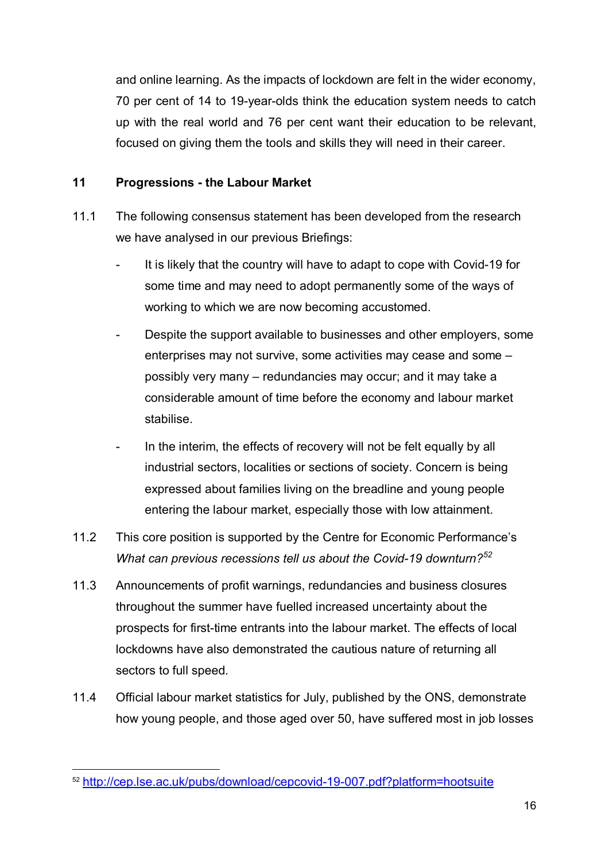and online learning. As the impacts of lockdown are felt in the wider economy, 70 per cent of 14 to 19-year-olds think the education system needs to catch up with the real world and 76 per cent want their education to be relevant, focused on giving them the tools and skills they will need in their career.

#### **11 Progressions - the Labour Market**

- 11.1 The following consensus statement has been developed from the research we have analysed in our previous Briefings:
	- It is likely that the country will have to adapt to cope with Covid-19 for some time and may need to adopt permanently some of the ways of working to which we are now becoming accustomed.
	- Despite the support available to businesses and other employers, some enterprises may not survive, some activities may cease and some – possibly very many – redundancies may occur; and it may take a considerable amount of time before the economy and labour market stabilise.
	- In the interim, the effects of recovery will not be felt equally by all industrial sectors, localities or sections of society. Concern is being expressed about families living on the breadline and young people entering the labour market, especially those with low attainment.
- 11.2 This core position is supported by the Centre for Economic Performance's *What can previous recessions tell us about the Covid-19 downturn?[52](#page-15-0)*
- 11.3 Announcements of profit warnings, redundancies and business closures throughout the summer have fuelled increased uncertainty about the prospects for first-time entrants into the labour market. The effects of local lockdowns have also demonstrated the cautious nature of returning all sectors to full speed.
- 11.4 Official labour market statistics for July, published by the ONS, demonstrate how young people, and those aged over 50, have suffered most in job losses

<span id="page-15-0"></span> <sup>52</sup> <http://cep.lse.ac.uk/pubs/download/cepcovid-19-007.pdf?platform=hootsuite>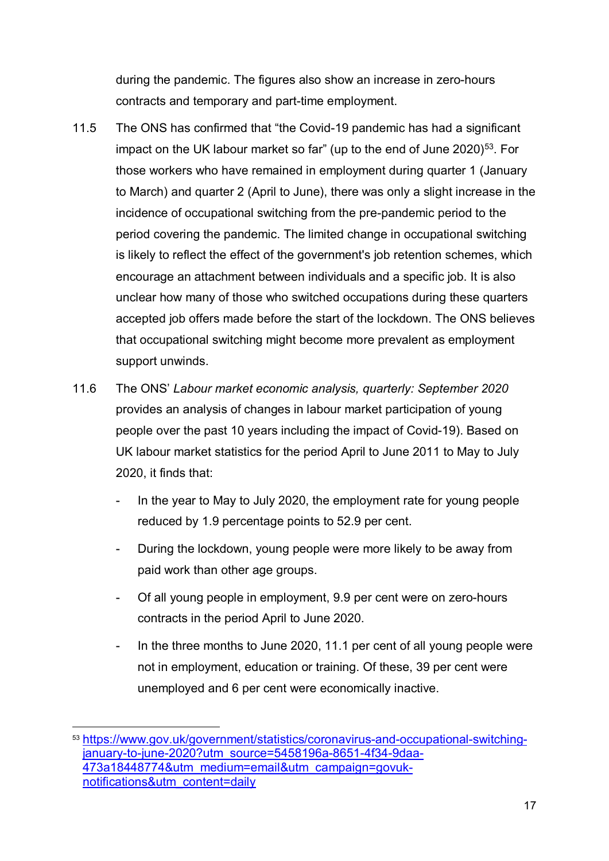during the pandemic. The figures also show an increase in zero-hours contracts and temporary and part-time employment.

- 11.5 The ONS has confirmed that "the Covid-19 pandemic has had a significant impact on the UK labour market so far" (up to the end of June  $2020$ )<sup>53</sup>. For those workers who have remained in employment during quarter 1 (January to March) and quarter 2 (April to June), there was only a slight increase in the incidence of occupational switching from the pre-pandemic period to the period covering the pandemic. The limited change in occupational switching is likely to reflect the effect of the government's job retention schemes, which encourage an attachment between individuals and a specific job. It is also unclear how many of those who switched occupations during these quarters accepted job offers made before the start of the lockdown. The ONS believes that occupational switching might become more prevalent as employment support unwinds.
- 11.6 The ONS' *Labour market economic analysis, quarterly: September 2020* provides an analysis of changes in labour market participation of young people over the past 10 years including the impact of Covid-19). Based on UK labour market statistics for the period April to June 2011 to May to July 2020, it finds that:
	- In the year to May to July 2020, the employment rate for young people reduced by 1.9 percentage points to 52.9 per cent.
	- During the lockdown, young people were more likely to be away from paid work than other age groups.
	- Of all young people in employment, 9.9 per cent were on zero-hours contracts in the period April to June 2020.
	- In the three months to June 2020, 11.1 per cent of all young people were not in employment, education or training. Of these, 39 per cent were unemployed and 6 per cent were economically inactive.

<span id="page-16-0"></span> <sup>53</sup> [https://www.gov.uk/government/statistics/coronavirus-and-occupational-switching](https://www.gov.uk/government/statistics/coronavirus-and-occupational-switching-january-to-june-2020?utm_source=5458196a-8651-4f34-9daa-473a18448774&utm_medium=email&utm_campaign=govuk-notifications&utm_content=daily)[january-to-june-2020?utm\\_source=5458196a-8651-4f34-9daa-](https://www.gov.uk/government/statistics/coronavirus-and-occupational-switching-january-to-june-2020?utm_source=5458196a-8651-4f34-9daa-473a18448774&utm_medium=email&utm_campaign=govuk-notifications&utm_content=daily)[473a18448774&utm\\_medium=email&utm\\_campaign=govuk](https://www.gov.uk/government/statistics/coronavirus-and-occupational-switching-january-to-june-2020?utm_source=5458196a-8651-4f34-9daa-473a18448774&utm_medium=email&utm_campaign=govuk-notifications&utm_content=daily)[notifications&utm\\_content=daily](https://www.gov.uk/government/statistics/coronavirus-and-occupational-switching-january-to-june-2020?utm_source=5458196a-8651-4f34-9daa-473a18448774&utm_medium=email&utm_campaign=govuk-notifications&utm_content=daily)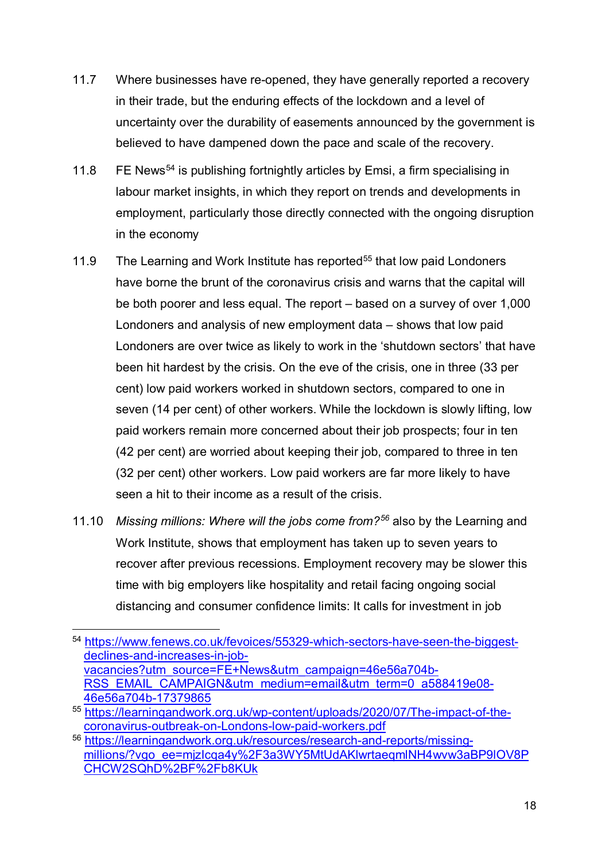- 11.7 Where businesses have re-opened, they have generally reported a recovery in their trade, but the enduring effects of the lockdown and a level of uncertainty over the durability of easements announced by the government is believed to have dampened down the pace and scale of the recovery.
- 11.8 FE News<sup>[54](#page-17-0)</sup> is publishing fortnightly articles by Emsi, a firm specialising in labour market insights, in which they report on trends and developments in employment, particularly those directly connected with the ongoing disruption in the economy
- 11.9 The Learning and Work Institute has reported<sup>[55](#page-17-1)</sup> that low paid Londoners have borne the brunt of the coronavirus crisis and warns that the capital will be both poorer and less equal. The report – based on a survey of over 1,000 Londoners and analysis of new employment data – shows that low paid Londoners are over twice as likely to work in the 'shutdown sectors' that have been hit hardest by the crisis. On the eve of the crisis, one in three (33 per cent) low paid workers worked in shutdown sectors, compared to one in seven (14 per cent) of other workers. While the lockdown is slowly lifting, low paid workers remain more concerned about their job prospects; four in ten (42 per cent) are worried about keeping their job, compared to three in ten (32 per cent) other workers. Low paid workers are far more likely to have seen a hit to their income as a result of the crisis.
- 11.10 *Missing millions: Where will the jobs come from?[56](#page-17-2)* also by the Learning and Work Institute, shows that employment has taken up to seven years to recover after previous recessions. Employment recovery may be slower this time with big employers like hospitality and retail facing ongoing social distancing and consumer confidence limits: It calls for investment in job

<span id="page-17-0"></span><sup>54</sup> https://www.fenews.co.uk/fevoices/55329-which-sectors-have-seen-the-biggest[declines-and-increases-in-job](https://www.fenews.co.uk/fevoices/55329-which-sectors-have-seen-the-biggest-declines-and-increases-in-job-vacancies?utm_source=FE+News&utm_campaign=46e56a704b-RSS_EMAIL_CAMPAIGN&utm_medium=email&utm_term=0_a588419e08-46e56a704b-17379865)[vacancies?utm\\_source=FE+News&utm\\_campaign=46e56a704b-](https://www.fenews.co.uk/fevoices/55329-which-sectors-have-seen-the-biggest-declines-and-increases-in-job-vacancies?utm_source=FE+News&utm_campaign=46e56a704b-RSS_EMAIL_CAMPAIGN&utm_medium=email&utm_term=0_a588419e08-46e56a704b-17379865)[RSS\\_EMAIL\\_CAMPAIGN&utm\\_medium=email&utm\\_term=0\\_a588419e08-](https://www.fenews.co.uk/fevoices/55329-which-sectors-have-seen-the-biggest-declines-and-increases-in-job-vacancies?utm_source=FE+News&utm_campaign=46e56a704b-RSS_EMAIL_CAMPAIGN&utm_medium=email&utm_term=0_a588419e08-46e56a704b-17379865) [46e56a704b-17379865](https://www.fenews.co.uk/fevoices/55329-which-sectors-have-seen-the-biggest-declines-and-increases-in-job-vacancies?utm_source=FE+News&utm_campaign=46e56a704b-RSS_EMAIL_CAMPAIGN&utm_medium=email&utm_term=0_a588419e08-46e56a704b-17379865) 55 [https://learningandwork.org.uk/wp-content/uploads/2020/07/The-impact-of-the-](https://learningandwork.org.uk/wp-content/uploads/2020/07/The-impact-of-the-coronavirus-outbreak-on-Londons-low-paid-workers.pdf)

<span id="page-17-1"></span>[coronavirus-outbreak-on-Londons-low-paid-workers.pdf](https://learningandwork.org.uk/wp-content/uploads/2020/07/The-impact-of-the-coronavirus-outbreak-on-Londons-low-paid-workers.pdf)

<span id="page-17-2"></span><sup>56</sup> [https://learningandwork.org.uk/resources/research-and-reports/missing](https://learningandwork.org.uk/resources/research-and-reports/missing-millions/?vgo_ee=mjzIcqa4y%2F3a3WY5MtUdAKlwrtaeqmlNH4wvw3aBP9lOV8PCHCW2SQhD%2BF%2Fb8KUk)[millions/?vgo\\_ee=mjzIcqa4y%2F3a3WY5MtUdAKlwrtaeqmlNH4wvw3aBP9lOV8P](https://learningandwork.org.uk/resources/research-and-reports/missing-millions/?vgo_ee=mjzIcqa4y%2F3a3WY5MtUdAKlwrtaeqmlNH4wvw3aBP9lOV8PCHCW2SQhD%2BF%2Fb8KUk) [CHCW2SQhD%2BF%2Fb8KUk](https://learningandwork.org.uk/resources/research-and-reports/missing-millions/?vgo_ee=mjzIcqa4y%2F3a3WY5MtUdAKlwrtaeqmlNH4wvw3aBP9lOV8PCHCW2SQhD%2BF%2Fb8KUk)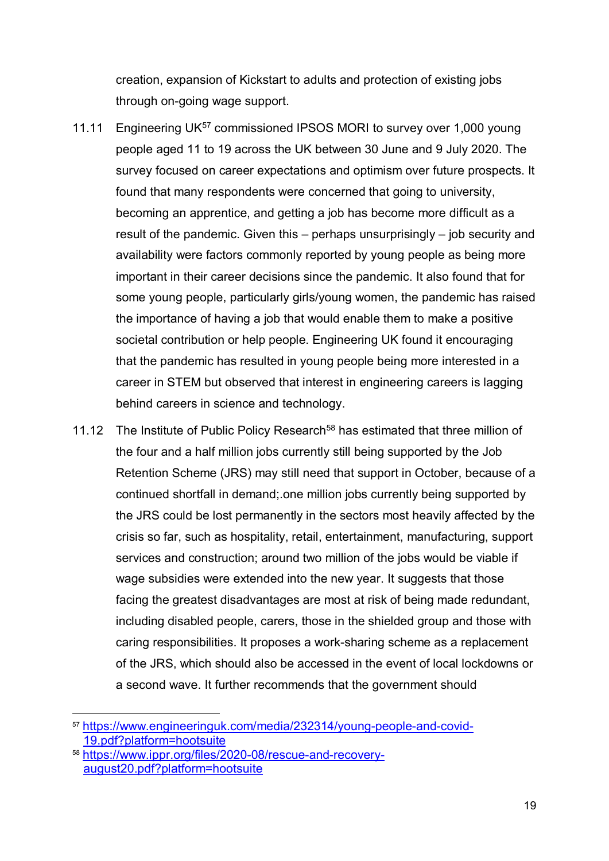creation, expansion of Kickstart to adults and protection of existing jobs through on-going wage support.

- 11.11 Engineering UK<sup>[57](#page-18-0)</sup> commissioned IPSOS MORI to survey over 1,000 young people aged 11 to 19 across the UK between 30 June and 9 July 2020. The survey focused on career expectations and optimism over future prospects. It found that many respondents were concerned that going to university, becoming an apprentice, and getting a job has become more difficult as a result of the pandemic. Given this – perhaps unsurprisingly – job security and availability were factors commonly reported by young people as being more important in their career decisions since the pandemic. It also found that for some young people, particularly girls/young women, the pandemic has raised the importance of having a job that would enable them to make a positive societal contribution or help people. Engineering UK found it encouraging that the pandemic has resulted in young people being more interested in a career in STEM but observed that interest in engineering careers is lagging behind careers in science and technology.
- 11.12 The Institute of Public Policy Research<sup>[58](#page-18-1)</sup> has estimated that three million of the four and a half million jobs currently still being supported by the Job Retention Scheme (JRS) may still need that support in October, because of a continued shortfall in demand;.one million jobs currently being supported by the JRS could be lost permanently in the sectors most heavily affected by the crisis so far, such as hospitality, retail, entertainment, manufacturing, support services and construction; around two million of the jobs would be viable if wage subsidies were extended into the new year. It suggests that those facing the greatest disadvantages are most at risk of being made redundant, including disabled people, carers, those in the shielded group and those with caring responsibilities. It proposes a work-sharing scheme as a replacement of the JRS, which should also be accessed in the event of local lockdowns or a second wave. It further recommends that the government should

<span id="page-18-0"></span> <sup>57</sup> [https://www.engineeringuk.com/media/232314/young-people-and-covid-](https://www.engineeringuk.com/media/232314/young-people-and-covid-19.pdf?platform=hootsuite)[19.pdf?platform=hootsuite](https://www.engineeringuk.com/media/232314/young-people-and-covid-19.pdf?platform=hootsuite)

<span id="page-18-1"></span><sup>58</sup> [https://www.ippr.org/files/2020-08/rescue-and-recovery](https://www.ippr.org/files/2020-08/rescue-and-recovery-august20.pdf?platform=hootsuite)[august20.pdf?platform=hootsuite](https://www.ippr.org/files/2020-08/rescue-and-recovery-august20.pdf?platform=hootsuite)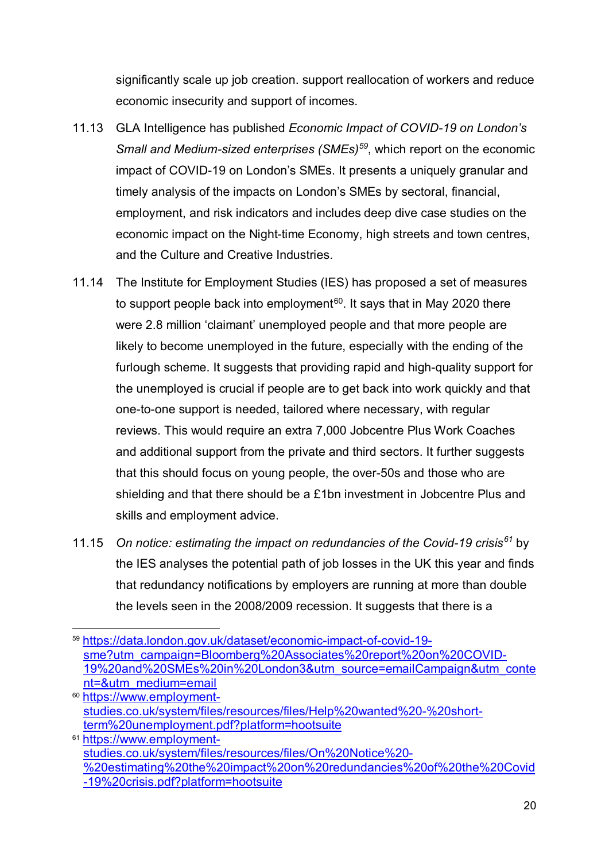significantly scale up job creation. support reallocation of workers and reduce economic insecurity and support of incomes.

- 11.13 GLA Intelligence has published *Economic Impact of COVID-19 on London's Small and Medium-sized enterprises (SMEs)[59](#page-19-0)*, which report on the economic impact of COVID-19 on London's SMEs. It presents a uniquely granular and timely analysis of the impacts on London's SMEs by sectoral, financial, employment, and risk indicators and includes deep dive case studies on the economic impact on the Night-time Economy, high streets and town centres, and the Culture and Creative Industries.
- 11.14 The Institute for Employment Studies (IES) has proposed a set of measures to support people back into employment<sup>[60](#page-19-1)</sup>. It says that in May 2020 there were 2.8 million 'claimant' unemployed people and that more people are likely to become unemployed in the future, especially with the ending of the furlough scheme. It suggests that providing rapid and high-quality support for the unemployed is crucial if people are to get back into work quickly and that one-to-one support is needed, tailored where necessary, with regular reviews. This would require an extra 7,000 Jobcentre Plus Work Coaches and additional support from the private and third sectors. It further suggests that this should focus on young people, the over-50s and those who are shielding and that there should be a £1bn investment in Jobcentre Plus and skills and employment advice.
- 11.15 *On notice: estimating the impact on redundancies of the Covid-19 crisis[61](#page-19-2)* by the IES analyses the potential path of job losses in the UK this year and finds that redundancy notifications by employers are running at more than double the levels seen in the 2008/2009 recession. It suggests that there is a

- <span id="page-19-1"></span>[studies.co.uk/system/files/resources/files/Help%20wanted%20-%20short](https://www.employment-studies.co.uk/system/files/resources/files/Help%20wanted%20-%20short-term%20unemployment.pdf?platform=hootsuite)[term%20unemployment.pdf?platform=hootsuite](https://www.employment-studies.co.uk/system/files/resources/files/Help%20wanted%20-%20short-term%20unemployment.pdf?platform=hootsuite)
- <span id="page-19-2"></span><sup>61</sup> [https://www.employment](https://www.employment-studies.co.uk/system/files/resources/files/On%20Notice%20-%20estimating%20the%20impact%20on%20redundancies%20of%20the%20Covid-19%20crisis.pdf?platform=hootsuite)[studies.co.uk/system/files/resources/files/On%20Notice%20-](https://www.employment-studies.co.uk/system/files/resources/files/On%20Notice%20-%20estimating%20the%20impact%20on%20redundancies%20of%20the%20Covid-19%20crisis.pdf?platform=hootsuite) [%20estimating%20the%20impact%20on%20redundancies%20of%20the%20Covid](https://www.employment-studies.co.uk/system/files/resources/files/On%20Notice%20-%20estimating%20the%20impact%20on%20redundancies%20of%20the%20Covid-19%20crisis.pdf?platform=hootsuite) [-19%20crisis.pdf?platform=hootsuite](https://www.employment-studies.co.uk/system/files/resources/files/On%20Notice%20-%20estimating%20the%20impact%20on%20redundancies%20of%20the%20Covid-19%20crisis.pdf?platform=hootsuite)

<span id="page-19-0"></span> <sup>59</sup> [https://data.london.gov.uk/dataset/economic-impact-of-covid-19](https://data.london.gov.uk/dataset/economic-impact-of-covid-19-sme?utm_campaign=Bloomberg%20Associates%20report%20on%20COVID-19%20and%20SMEs%20in%20London3&utm_source=emailCampaign&utm_content=&utm_medium=email) [sme?utm\\_campaign=Bloomberg%20Associates%20report%20on%20COVID-](https://data.london.gov.uk/dataset/economic-impact-of-covid-19-sme?utm_campaign=Bloomberg%20Associates%20report%20on%20COVID-19%20and%20SMEs%20in%20London3&utm_source=emailCampaign&utm_content=&utm_medium=email)[19%20and%20SMEs%20in%20London3&utm\\_source=emailCampaign&utm\\_conte](https://data.london.gov.uk/dataset/economic-impact-of-covid-19-sme?utm_campaign=Bloomberg%20Associates%20report%20on%20COVID-19%20and%20SMEs%20in%20London3&utm_source=emailCampaign&utm_content=&utm_medium=email) [nt=&utm\\_medium=email](https://data.london.gov.uk/dataset/economic-impact-of-covid-19-sme?utm_campaign=Bloomberg%20Associates%20report%20on%20COVID-19%20and%20SMEs%20in%20London3&utm_source=emailCampaign&utm_content=&utm_medium=email) <sup>60</sup> [https://www.employment-](https://www.employment-studies.co.uk/system/files/resources/files/Help%20wanted%20-%20short-term%20unemployment.pdf?platform=hootsuite)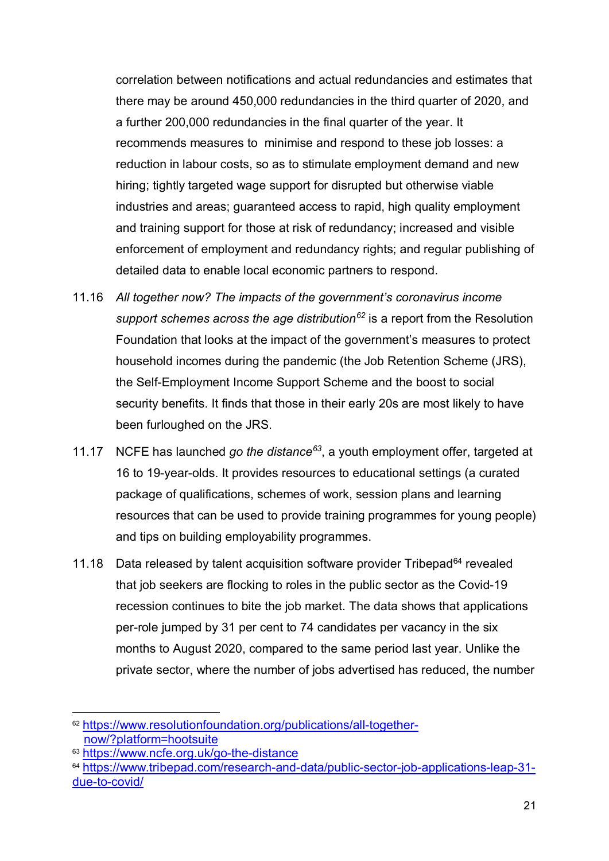correlation between notifications and actual redundancies and estimates that there may be around 450,000 redundancies in the third quarter of 2020, and a further 200,000 redundancies in the final quarter of the year. It recommends measures to minimise and respond to these job losses: a reduction in labour costs, so as to stimulate employment demand and new hiring; tightly targeted wage support for disrupted but otherwise viable industries and areas; guaranteed access to rapid, high quality employment and training support for those at risk of redundancy; increased and visible enforcement of employment and redundancy rights; and regular publishing of detailed data to enable local economic partners to respond.

- 11.16 *All together now? The impacts of the government's coronavirus income support schemes across the age distribution[62](#page-20-0)* is a report from the Resolution Foundation that looks at the impact of the government's measures to protect household incomes during the pandemic (the Job Retention Scheme (JRS), the Self-Employment Income Support Scheme and the boost to social security benefits. It finds that those in their early 20s are most likely to have been furloughed on the JRS.
- 11.17 NCFE has launched *go the distance[63](#page-20-1)*, a youth employment offer, targeted at 16 to 19-year-olds. It provides resources to educational settings (a curated package of qualifications, schemes of work, session plans and learning resources that can be used to provide training programmes for young people) and tips on building employability programmes.
- 11.18 Data released by talent acquisition software provider Tribepad $64$  revealed that job seekers are flocking to roles in the public sector as the Covid-19 recession continues to bite the job market. The data shows that applications per-role jumped by 31 per cent to 74 candidates per vacancy in the six months to August 2020, compared to the same period last year. Unlike the private sector, where the number of jobs advertised has reduced, the number

<span id="page-20-0"></span> <sup>62</sup> [https://www.resolutionfoundation.org/publications/all-together](https://www.resolutionfoundation.org/publications/all-together-now/?platform=hootsuite)[now/?platform=hootsuite](https://www.resolutionfoundation.org/publications/all-together-now/?platform=hootsuite)

<span id="page-20-1"></span><sup>63</sup> <https://www.ncfe.org.uk/go-the-distance>

<span id="page-20-2"></span><sup>64</sup> [https://www.tribepad.com/research-and-data/public-sector-job-applications-leap-31](https://www.tribepad.com/research-and-data/public-sector-job-applications-leap-31-due-to-covid/) [due-to-covid/](https://www.tribepad.com/research-and-data/public-sector-job-applications-leap-31-due-to-covid/)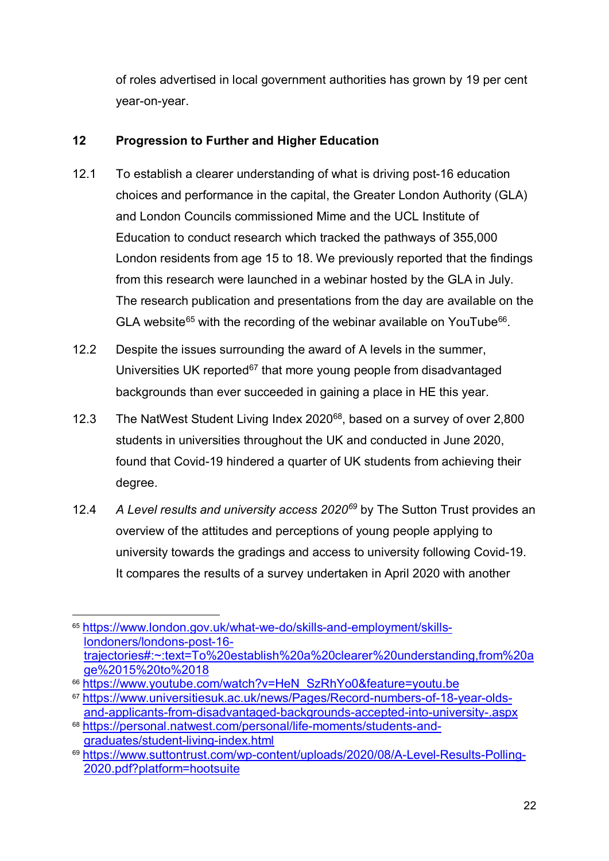of roles advertised in local government authorities has grown by 19 per cent year-on-year.

#### **12 Progression to Further and Higher Education**

- 12.1 To establish a clearer understanding of what is driving post-16 education choices and performance in the capital, the Greater London Authority (GLA) and London Councils commissioned Mime and the UCL Institute of Education to conduct research which tracked the pathways of 355,000 London residents from age 15 to 18. We previously reported that the findings from this research were launched in a webinar hosted by the GLA in July. The research publication and presentations from the day are available on the GLA website<sup>[65](#page-21-0)</sup> with the recording of the webinar available on YouTube<sup>66</sup>.
- 12.2 Despite the issues surrounding the award of A levels in the summer, Universities UK reported<sup>[67](#page-21-2)</sup> that more young people from disadvantaged backgrounds than ever succeeded in gaining a place in HE this year.
- 12.3 The NatWest Student Living Index 2020<sup>68</sup>, based on a survey of over 2,800 students in universities throughout the UK and conducted in June 2020, found that Covid-19 hindered a quarter of UK students from achieving their degree.
- 12.4 *A Level results and university access 2020[69](#page-21-4)* by The Sutton Trust provides an overview of the attitudes and perceptions of young people applying to university towards the gradings and access to university following Covid-19. It compares the results of a survey undertaken in April 2020 with another

<span id="page-21-0"></span> <sup>65</sup> [https://www.london.gov.uk/what-we-do/skills-and-employment/skills](https://www.london.gov.uk/what-we-do/skills-and-employment/skills-londoners/londons-post-16-trajectories#:%7E:text=To%20establish%20a%20clearer%20understanding,from%20age%2015%20to%2018)[londoners/londons-post-16](https://www.london.gov.uk/what-we-do/skills-and-employment/skills-londoners/londons-post-16-trajectories#:%7E:text=To%20establish%20a%20clearer%20understanding,from%20age%2015%20to%2018) [trajectories#:~:text=To%20establish%20a%20clearer%20understanding,from%20a](https://www.london.gov.uk/what-we-do/skills-and-employment/skills-londoners/londons-post-16-trajectories#:%7E:text=To%20establish%20a%20clearer%20understanding,from%20age%2015%20to%2018) [ge%2015%20to%2018](https://www.london.gov.uk/what-we-do/skills-and-employment/skills-londoners/londons-post-16-trajectories#:%7E:text=To%20establish%20a%20clearer%20understanding,from%20age%2015%20to%2018)

<span id="page-21-1"></span><sup>66</sup> [https://www.youtube.com/watch?v=HeN\\_SzRhYo0&feature=youtu.be](https://www.youtube.com/watch?v=HeN_SzRhYo0&feature=youtu.be)

<span id="page-21-2"></span><sup>67</sup> [https://www.universitiesuk.ac.uk/news/Pages/Record-numbers-of-18-year-olds](https://www.universitiesuk.ac.uk/news/Pages/Record-numbers-of-18-year-olds-and-applicants-from-disadvantaged-backgrounds-accepted-into-university-.aspx)[and-applicants-from-disadvantaged-backgrounds-accepted-into-university-.aspx](https://www.universitiesuk.ac.uk/news/Pages/Record-numbers-of-18-year-olds-and-applicants-from-disadvantaged-backgrounds-accepted-into-university-.aspx)

<span id="page-21-3"></span><sup>68</sup> [https://personal.natwest.com/personal/life-moments/students-and](https://personal.natwest.com/personal/life-moments/students-and-graduates/student-living-index.html)[graduates/student-living-index.html](https://personal.natwest.com/personal/life-moments/students-and-graduates/student-living-index.html)

<span id="page-21-4"></span><sup>69</sup> [https://www.suttontrust.com/wp-content/uploads/2020/08/A-Level-Results-Polling-](https://www.suttontrust.com/wp-content/uploads/2020/08/A-Level-Results-Polling-2020.pdf?platform=hootsuite)[2020.pdf?platform=hootsuite](https://www.suttontrust.com/wp-content/uploads/2020/08/A-Level-Results-Polling-2020.pdf?platform=hootsuite)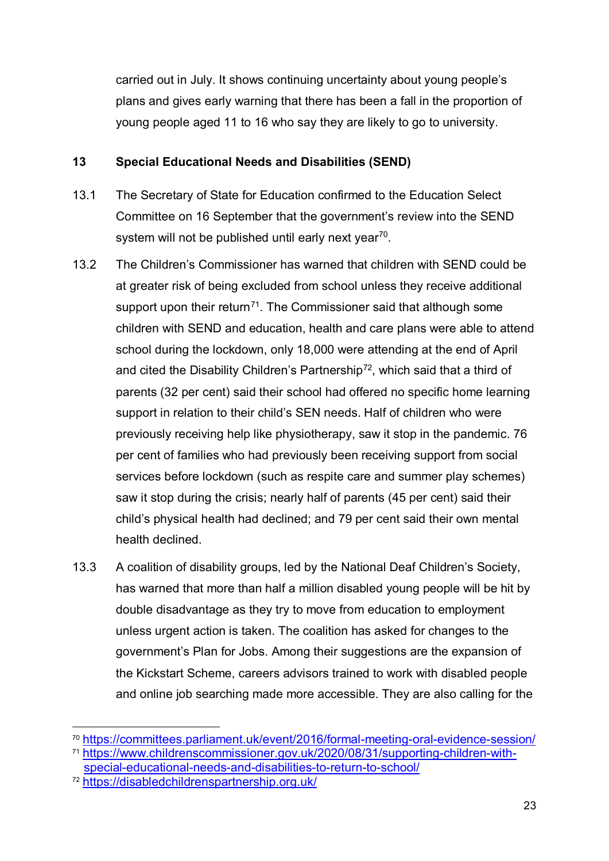carried out in July. It shows continuing uncertainty about young people's plans and gives early warning that there has been a fall in the proportion of young people aged 11 to 16 who say they are likely to go to university.

#### **13 Special Educational Needs and Disabilities (SEND)**

- <span id="page-22-0"></span>13.1 The Secretary of State for Education confirmed to the Education Select Committee on 16 September that the government's review into the SEND system will not be published until early next year<sup>[70](#page-22-1)</sup>.
- 13.2 The Children's Commissioner has warned that children with SEND could be at greater risk of being excluded from school unless they receive additional support upon their return<sup>71</sup>. The Commissioner said that although some children with SEND and education, health and care plans were able to attend school during the lockdown, only 18,000 were attending at the end of April and cited the Disability Children's Partnership<sup>72</sup>, which said that a third of parents (32 per cent) said their school had offered no specific home learning support in relation to their child's SEN needs. Half of children who were previously receiving help like physiotherapy, saw it stop in the pandemic. 76 per cent of families who had previously been receiving support from social services before lockdown (such as respite care and summer play schemes) saw it stop during the crisis; nearly half of parents (45 per cent) said their child's physical health had declined; and 79 per cent said their own mental health declined.
- 13.3 A coalition of disability groups, led by the National Deaf Children's Society, has warned that more than half a million disabled young people will be hit by double disadvantage as they try to move from education to employment unless urgent action is taken. The coalition has asked for changes to the government's Plan for Jobs. Among their suggestions are the expansion of the Kickstart Scheme, careers advisors trained to work with disabled people and online job searching made more accessible. They are also calling for the

<span id="page-22-1"></span> <sup>70</sup> <https://committees.parliament.uk/event/2016/formal-meeting-oral-evidence-session/>

<span id="page-22-2"></span><sup>71</sup> [https://www.childrenscommissioner.gov.uk/2020/08/31/supporting-children-with](https://www.childrenscommissioner.gov.uk/2020/08/31/supporting-children-with-special-educational-needs-and-disabilities-to-return-to-school/)[special-educational-needs-and-disabilities-to-return-to-school/](https://www.childrenscommissioner.gov.uk/2020/08/31/supporting-children-with-special-educational-needs-and-disabilities-to-return-to-school/)

<span id="page-22-3"></span><sup>72</sup> <https://disabledchildrenspartnership.org.uk/>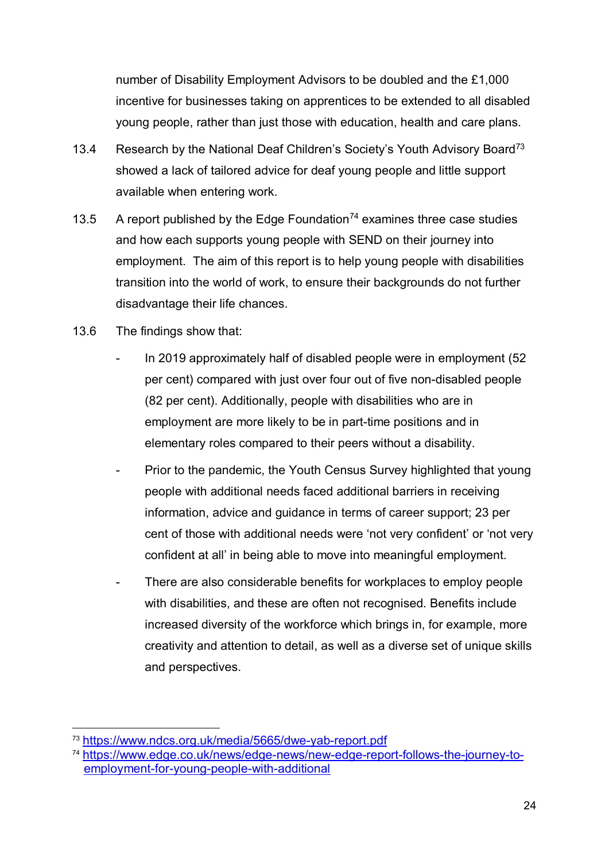number of Disability Employment Advisors to be doubled and the £1,000 incentive for businesses taking on apprentices to be extended to all disabled young people, rather than just those with education, health and care plans.

- 13.4 Research by the National Deaf Children's Society's Youth Advisory Board<sup>73</sup> showed a lack of tailored advice for deaf young people and little support available when entering work.
- 13.5 A report published by the Edge Foundation<sup>[74](#page-23-1)</sup> examines three case studies and how each supports young people with SEND on their journey into employment. The aim of this report is to help young people with disabilities transition into the world of work, to ensure their backgrounds do not further disadvantage their life chances.
- 13.6 The findings show that:
	- In 2019 approximately half of disabled people were in employment (52 per cent) compared with just over four out of five non-disabled people (82 per cent). Additionally, people with disabilities who are in employment are more likely to be in part-time positions and in elementary roles compared to their peers without a disability.
	- Prior to the pandemic, the Youth Census Survey highlighted that young people with additional needs faced additional barriers in receiving information, advice and guidance in terms of career support; 23 per cent of those with additional needs were 'not very confident' or 'not very confident at all' in being able to move into meaningful employment.
	- There are also considerable benefits for workplaces to employ people with disabilities, and these are often not recognised. Benefits include increased diversity of the workforce which brings in, for example, more creativity and attention to detail, as well as a diverse set of unique skills and perspectives.

<span id="page-23-0"></span> <sup>73</sup> <https://www.ndcs.org.uk/media/5665/dwe-yab-report.pdf>

<span id="page-23-1"></span><sup>74</sup> [https://www.edge.co.uk/news/edge-news/new-edge-report-follows-the-journey-to](https://www.edge.co.uk/news/edge-news/new-edge-report-follows-the-journey-to-employment-for-young-people-with-additional)[employment-for-young-people-with-additional](https://www.edge.co.uk/news/edge-news/new-edge-report-follows-the-journey-to-employment-for-young-people-with-additional)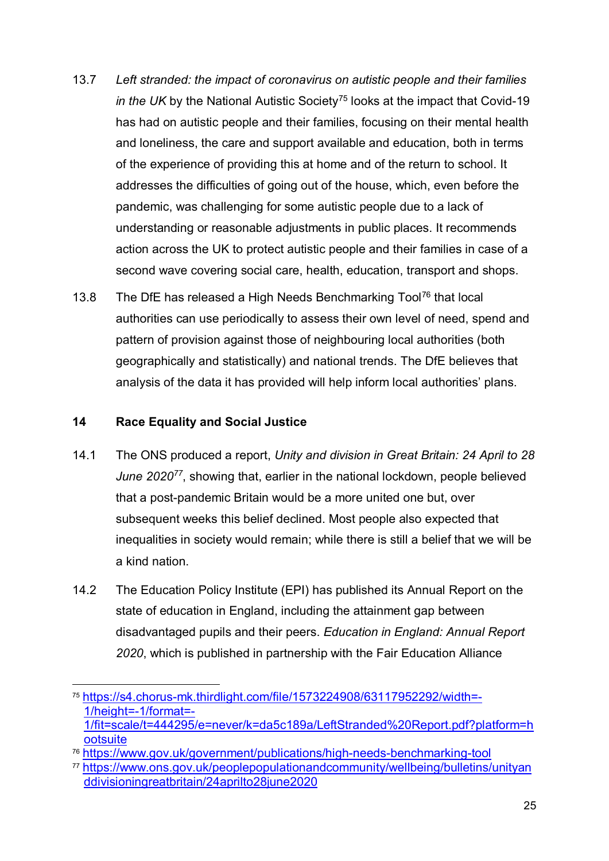- 13.7 *Left stranded: the impact of coronavirus on autistic people and their families in the UK* by the National Autistic Society<sup>[75](#page-24-0)</sup> looks at the impact that Covid-19 has had on autistic people and their families, focusing on their mental health and loneliness, the care and support available and education, both in terms of the experience of providing this at home and of the return to school. It addresses the difficulties of going out of the house, which, even before the pandemic, was challenging for some autistic people due to a lack of understanding or reasonable adjustments in public places. It recommends action across the UK to protect autistic people and their families in case of a second wave covering social care, health, education, transport and shops.
- 13.8 The DfE has released a High Needs Benchmarking Tool<sup>[76](#page-24-1)</sup> that local authorities can use periodically to assess their own level of need, spend and pattern of provision against those of neighbouring local authorities (both geographically and statistically) and national trends. The DfE believes that analysis of the data it has provided will help inform local authorities' plans.

#### **14 Race Equality and Social Justice**

- 14.1 The ONS produced a report, *Unity and division in Great Britain: 24 April to 28 June 2020[77](#page-24-2)*, showing that, earlier in the national lockdown, people believed that a post-pandemic Britain would be a more united one but, over subsequent weeks this belief declined. Most people also expected that inequalities in society would remain; while there is still a belief that we will be a kind nation.
- 14.2 The Education Policy Institute (EPI) has published its Annual Report on the state of education in England, including the attainment gap between disadvantaged pupils and their peers. *Education in England: Annual Report 2020*, which is published in partnership with the Fair Education Alliance

<span id="page-24-0"></span> <sup>75</sup> [https://s4.chorus-mk.thirdlight.com/file/1573224908/63117952292/width=-](https://s4.chorus-mk.thirdlight.com/file/1573224908/63117952292/width=-1/height=-1/format=-1/fit=scale/t=444295/e=never/k=da5c189a/LeftStranded%20Report.pdf?platform=hootsuite) [1/height=-1/format=-](https://s4.chorus-mk.thirdlight.com/file/1573224908/63117952292/width=-1/height=-1/format=-1/fit=scale/t=444295/e=never/k=da5c189a/LeftStranded%20Report.pdf?platform=hootsuite) [1/fit=scale/t=444295/e=never/k=da5c189a/LeftStranded%20Report.pdf?platform=h](https://s4.chorus-mk.thirdlight.com/file/1573224908/63117952292/width=-1/height=-1/format=-1/fit=scale/t=444295/e=never/k=da5c189a/LeftStranded%20Report.pdf?platform=hootsuite) **[ootsuite](https://s4.chorus-mk.thirdlight.com/file/1573224908/63117952292/width=-1/height=-1/format=-1/fit=scale/t=444295/e=never/k=da5c189a/LeftStranded%20Report.pdf?platform=hootsuite)** 

<span id="page-24-1"></span><sup>76</sup> <https://www.gov.uk/government/publications/high-needs-benchmarking-tool>

<span id="page-24-2"></span><sup>77</sup>[.https://www.ons.gov.uk/peoplepopulationandcommunity/wellbeing/bulletins/unityan](https://www.ons.gov.uk/peoplepopulationandcommunity/wellbeing/bulletins/unityanddivisioningreatbritain/24aprilto28june2020) [ddivisioningreatbritain/24aprilto28june2020](https://www.ons.gov.uk/peoplepopulationandcommunity/wellbeing/bulletins/unityanddivisioningreatbritain/24aprilto28june2020)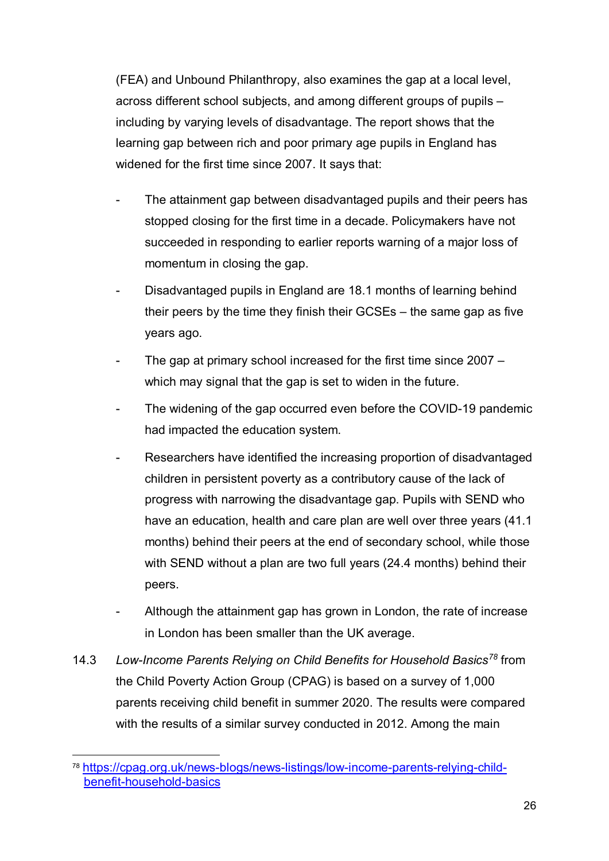(FEA) and Unbound Philanthropy, also examines the gap at a local level, across different school subjects, and among different groups of pupils – including by varying levels of disadvantage. The report shows that the learning gap between rich and poor primary age pupils in England has widened for the first time since 2007. It says that:

- The attainment gap between disadvantaged pupils and their peers has stopped closing for the first time in a decade. Policymakers have not succeeded in responding to earlier reports warning of a major loss of momentum in closing the gap.
- Disadvantaged pupils in England are 18.1 months of learning behind their peers by the time they finish their GCSEs – the same gap as five years ago.
- The gap at primary school increased for the first time since  $2007$ which may signal that the gap is set to widen in the future.
- The widening of the gap occurred even before the COVID-19 pandemic had impacted the education system.
- Researchers have identified the increasing proportion of disadvantaged children in persistent poverty as a contributory cause of the lack of progress with narrowing the disadvantage gap. Pupils with SEND who have an education, health and care plan are well over three years (41.1 months) behind their peers at the end of secondary school, while those with SEND without a plan are two full years (24.4 months) behind their peers.
- Although the attainment gap has grown in London, the rate of increase in London has been smaller than the UK average.
- 14.3 *Low-Income Parents Relying on Child Benefits for Household Basics[78](#page-25-0)* from the Child Poverty Action Group (CPAG) is based on a survey of 1,000 parents receiving child benefit in summer 2020. The results were compared with the results of a similar survey conducted in 2012. Among the main

<span id="page-25-0"></span> <sup>78</sup> [https://cpag.org.uk/news-blogs/news-listings/low-income-parents-relying-child](https://cpag.org.uk/news-blogs/news-listings/low-income-parents-relying-child-benefit-household-basics)[benefit-household-basics](https://cpag.org.uk/news-blogs/news-listings/low-income-parents-relying-child-benefit-household-basics)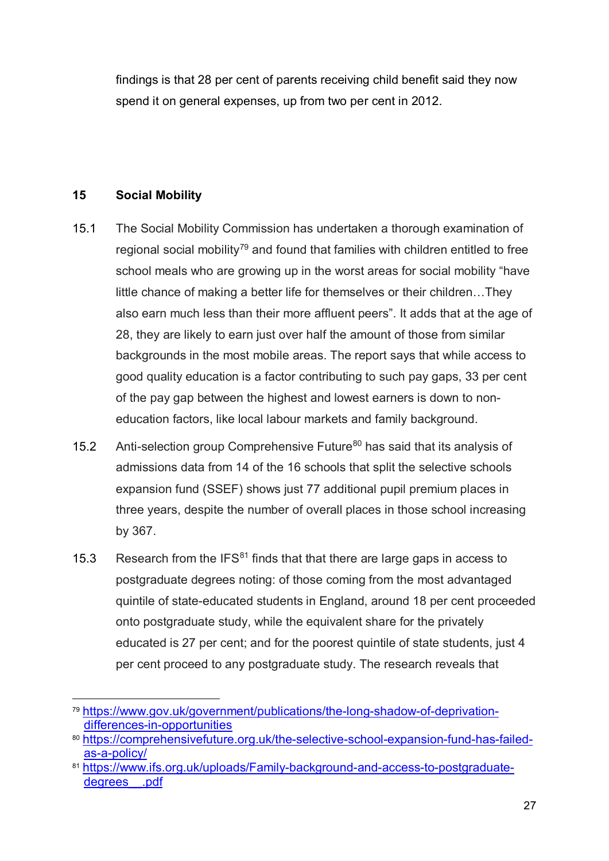findings is that 28 per cent of parents receiving child benefit said they now spend it on general expenses, up from two per cent in 2012.

#### **15 Social Mobility**

- 15.1 The Social Mobility Commission has undertaken a thorough examination of regional social mobility<sup>79</sup> and found that families with children entitled to free school meals who are growing up in the worst areas for social mobility "have little chance of making a better life for themselves or their children…They also earn much less than their more affluent peers". It adds that at the age of 28, they are likely to earn just over half the amount of those from similar backgrounds in the most mobile areas. The report says that while access to good quality education is a factor contributing to such pay gaps, 33 per cent of the pay gap between the highest and lowest earners is down to noneducation factors, like local labour markets and family background.
- 15.2 Anti-selection group Comprehensive Future<sup>[80](#page-26-1)</sup> has said that its analysis of admissions data from 14 of the 16 schools that split the selective schools expansion fund (SSEF) shows just 77 additional pupil premium places in three years, despite the number of overall places in those school increasing by 367.
- 15.3 Research from the IFS $81$  finds that that there are large gaps in access to postgraduate degrees noting: of those coming from the most advantaged quintile of state-educated students in England, around 18 per cent proceeded onto postgraduate study, while the equivalent share for the privately educated is 27 per cent; and for the poorest quintile of state students, just 4 per cent proceed to any postgraduate study. The research reveals that

<span id="page-26-0"></span> <sup>79</sup> [https://www.gov.uk/government/publications/the-long-shadow-of-deprivation](https://www.gov.uk/government/publications/the-long-shadow-of-deprivation-differences-in-opportunities)[differences-in-opportunities](https://www.gov.uk/government/publications/the-long-shadow-of-deprivation-differences-in-opportunities)

<span id="page-26-1"></span><sup>80</sup> [https://comprehensivefuture.org.uk/the-selective-school-expansion-fund-has-failed](https://comprehensivefuture.org.uk/the-selective-school-expansion-fund-has-failed-as-a-policy/)[as-a-policy/](https://comprehensivefuture.org.uk/the-selective-school-expansion-fund-has-failed-as-a-policy/)

<span id="page-26-2"></span><sup>81</sup> [https://www.ifs.org.uk/uploads/Family-background-and-access-to-postgraduate](https://www.ifs.org.uk/uploads/Family-background-and-access-to-postgraduate-degrees__.pdf)degrees .pdf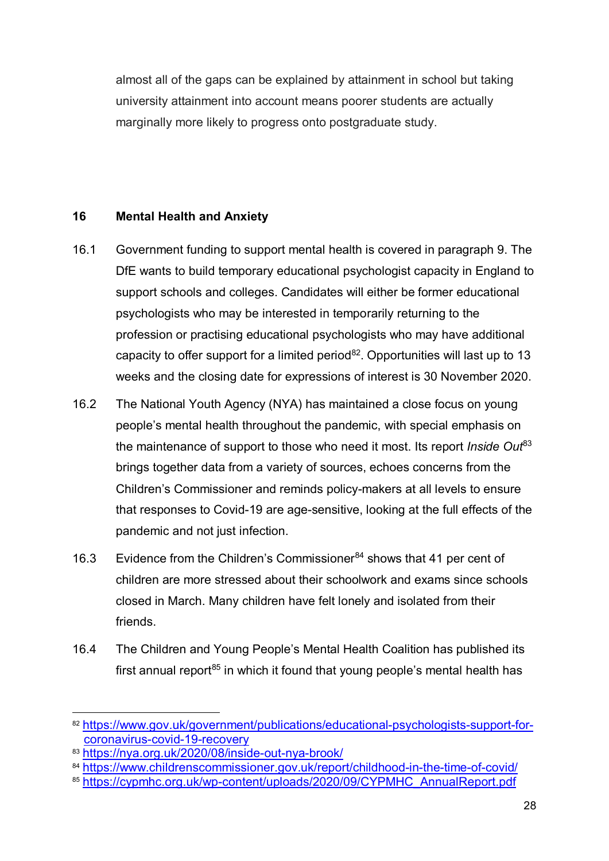almost all of the gaps can be explained by attainment in school but taking university attainment into account means poorer students are actually marginally more likely to progress onto postgraduate study.

#### **16 Mental Health and Anxiety**

- 16.1 Government funding to support mental health is covered in paragraph [9.](#page-10-5) The DfE wants to build temporary educational psychologist capacity in England to support schools and colleges. Candidates will either be former educational psychologists who may be interested in temporarily returning to the profession or practising educational psychologists who may have additional capacity to offer support for a limited period<sup>82</sup>. Opportunities will last up to 13 weeks and the closing date for expressions of interest is 30 November 2020.
- 16.2 The National Youth Agency (NYA) has maintained a close focus on young people's mental health throughout the pandemic, with special emphasis on the maintenance of support to those who need it most. Its report *Inside Out*[83](#page-27-1) brings together data from a variety of sources, echoes concerns from the Children's Commissioner and reminds policy-makers at all levels to ensure that responses to Covid-19 are age-sensitive, looking at the full effects of the pandemic and not just infection.
- 16.3 Evidence from the Children's Commissioner<sup>[84](#page-27-2)</sup> shows that 41 per cent of children are more stressed about their schoolwork and exams since schools closed in March. Many children have felt lonely and isolated from their friends.
- 16.4 The Children and Young People's Mental Health Coalition has published its first annual report<sup>[85](#page-27-3)</sup> in which it found that young people's mental health has

<span id="page-27-0"></span><sup>82</sup> [https://www.gov.uk/government/publications/educational-psychologists-support-for](https://www.gov.uk/government/publications/educational-psychologists-support-for-coronavirus-covid-19-recovery)[coronavirus-covid-19-recovery](https://www.gov.uk/government/publications/educational-psychologists-support-for-coronavirus-covid-19-recovery)

<span id="page-27-1"></span><sup>83</sup> <https://nya.org.uk/2020/08/inside-out-nya-brook/>

<span id="page-27-2"></span><sup>84</sup> <https://www.childrenscommissioner.gov.uk/report/childhood-in-the-time-of-covid/>

<span id="page-27-3"></span><sup>85</sup> [https://cypmhc.org.uk/wp-content/uploads/2020/09/CYPMHC\\_AnnualReport.pdf](https://cypmhc.org.uk/wp-content/uploads/2020/09/CYPMHC_AnnualReport.pdf)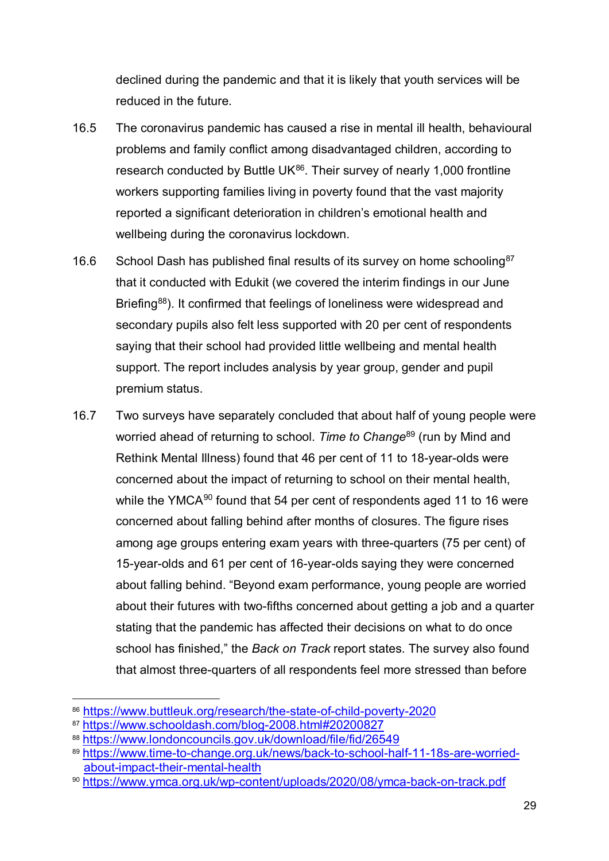declined during the pandemic and that it is likely that youth services will be reduced in the future.

- 16.5 The coronavirus pandemic has caused a rise in mental ill health, behavioural problems and family conflict among disadvantaged children, according to research conducted by Buttle UK $^{86}$ . Their survey of nearly 1,000 frontline workers supporting families living in poverty found that the vast majority reported a significant deterioration in children's emotional health and wellbeing during the coronavirus lockdown.
- 16.6 School Dash has published final results of its survey on home schooling<sup>[87](#page-28-1)</sup> that it conducted with Edukit (we covered the interim findings in our June Briefing<sup>[88](#page-28-2)</sup>). It confirmed that feelings of loneliness were widespread and secondary pupils also felt less supported with 20 per cent of respondents saying that their school had provided little wellbeing and mental health support. The report includes analysis by year group, gender and pupil premium status.
- 16.7 Two surveys have separately concluded that about half of young people were worried ahead of returning to school. *Time to Change*[89](#page-28-3) (run by Mind and Rethink Mental Illness) found that 46 per cent of 11 to 18-year-olds were concerned about the impact of returning to school on their mental health, while the YMCA $90$  found that 54 per cent of respondents aged 11 to 16 were concerned about falling behind after months of closures. The figure rises among age groups entering exam years with three-quarters (75 per cent) of 15-year-olds and 61 per cent of 16-year-olds saying they were concerned about falling behind. "Beyond exam performance, young people are worried about their futures with two-fifths concerned about getting a job and a quarter stating that the pandemic has affected their decisions on what to do once school has finished," the *Back on Track* report states. The survey also found that almost three-quarters of all respondents feel more stressed than before

<span id="page-28-0"></span> <sup>86</sup>[.https://www.buttleuk.org/research/the-state-of-child-poverty-2020](https://www.buttleuk.org/research/the-state-of-child-poverty-2020)

<span id="page-28-1"></span><sup>87</sup> <https://www.schooldash.com/blog-2008.html#20200827>

<span id="page-28-2"></span><sup>88</sup> <https://www.londoncouncils.gov.uk/download/file/fid/26549>

<span id="page-28-3"></span><sup>89</sup> [https://www.time-to-change.org.uk/news/back-to-school-half-11-18s-are-worried](https://www.time-to-change.org.uk/news/back-to-school-half-11-18s-are-worried-about-impact-their-mental-health)[about-impact-their-mental-health](https://www.time-to-change.org.uk/news/back-to-school-half-11-18s-are-worried-about-impact-their-mental-health)

<span id="page-28-4"></span><sup>90</sup> <https://www.ymca.org.uk/wp-content/uploads/2020/08/ymca-back-on-track.pdf>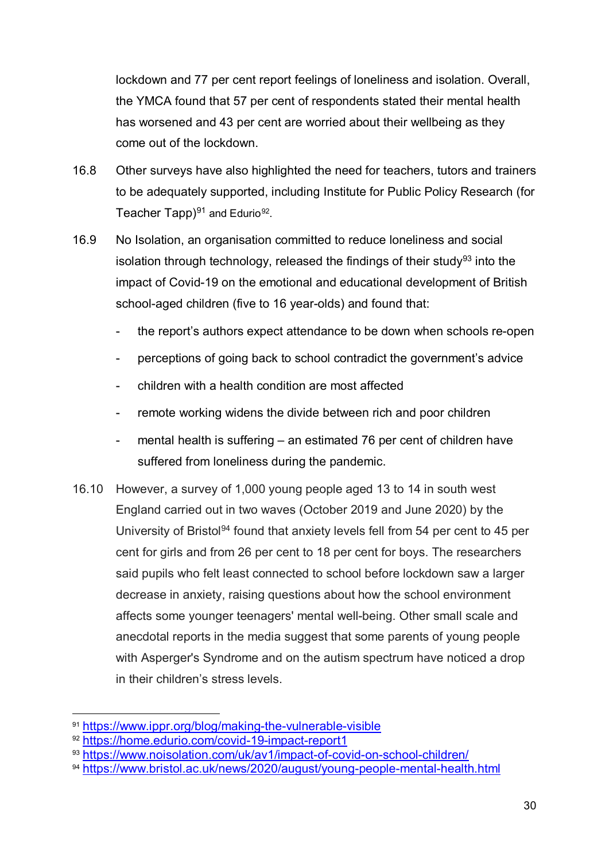lockdown and 77 per cent report feelings of loneliness and isolation. Overall, the YMCA found that 57 per cent of respondents stated their mental health has worsened and 43 per cent are worried about their wellbeing as they come out of the lockdown.

- 16.8 Other surveys have also highlighted the need for teachers, tutors and trainers to be adequately supported, including Institute for Public Policy Research (for Teacher Tapp $9^{91}$  and Edurio<sup>92</sup>.
- 16.9 No Isolation, an organisation committed to reduce loneliness and social isolation through technology, released the findings of their study<sup>[93](#page-29-2)</sup> into the impact of Covid-19 on the emotional and educational development of British school-aged children (five to 16 year-olds) and found that:
	- the report's authors expect attendance to be down when schools re-open
	- perceptions of going back to school contradict the government's advice
	- children with a health condition are most affected
	- remote working widens the divide between rich and poor children
	- mental health is suffering  $-$  an estimated 76 per cent of children have suffered from loneliness during the pandemic.
- 16.10 However, a survey of 1,000 young people aged 13 to 14 in south west England carried out in two waves (October 2019 and June 2020) by the University of Bristol<sup>94</sup> found that anxiety levels fell from 54 per cent to 45 per cent for girls and from 26 per cent to 18 per cent for boys. The researchers said pupils who felt least connected to school before lockdown saw a larger decrease in anxiety, raising questions about how the school environment affects some younger teenagers' mental well-being. Other small scale and anecdotal reports in the media suggest that some parents of young people with Asperger's Syndrome and on the autism spectrum have noticed a drop in their children's stress levels.

<span id="page-29-0"></span> <sup>91</sup> <https://www.ippr.org/blog/making-the-vulnerable-visible>

<span id="page-29-1"></span><sup>92</sup> <https://home.edurio.com/covid-19-impact-report1>

<span id="page-29-2"></span><sup>93</sup> <https://www.noisolation.com/uk/av1/impact-of-covid-on-school-children/>

<span id="page-29-3"></span><sup>94</sup> <https://www.bristol.ac.uk/news/2020/august/young-people-mental-health.html>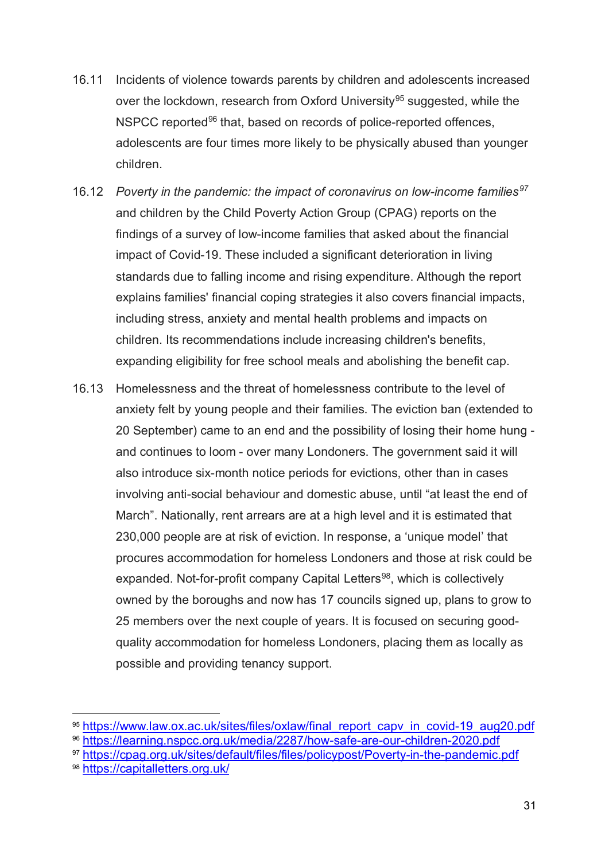- 16.11 Incidents of violence towards parents by children and adolescents increased over the lockdown, research from Oxford University<sup>[95](#page-30-0)</sup> suggested, while the NSPCC reported<sup>[96](#page-30-1)</sup> that, based on records of police-reported offences, adolescents are four times more likely to be physically abused than younger children.
- 16.12 *Poverty in the pandemic: the impact of coronavirus on low-income families[97](#page-30-2)* and children by the Child Poverty Action Group (CPAG) reports on the findings of a survey of low-income families that asked about the financial impact of Covid-19. These included a significant deterioration in living standards due to falling income and rising expenditure. Although the report explains families' financial coping strategies it also covers financial impacts, including stress, anxiety and mental health problems and impacts on children. Its recommendations include increasing children's benefits, expanding eligibility for free school meals and abolishing the benefit cap.
- 16.13 Homelessness and the threat of homelessness contribute to the level of anxiety felt by young people and their families. The eviction ban (extended to 20 September) came to an end and the possibility of losing their home hung and continues to loom - over many Londoners. The government said it will also introduce six-month notice periods for evictions, other than in cases involving anti-social behaviour and domestic abuse, until "at least the end of March". Nationally, rent arrears are at a high level and it is estimated that 230,000 people are at risk of eviction. In response, a 'unique model' that procures accommodation for homeless Londoners and those at risk could be expanded. Not-for-profit company Capital Letters<sup>98</sup>, which is collectively owned by the boroughs and now has 17 councils signed up, plans to grow to 25 members over the next couple of years. It is focused on securing goodquality accommodation for homeless Londoners, placing them as locally as possible and providing tenancy support.

<span id="page-30-2"></span><sup>97</sup> <https://cpag.org.uk/sites/default/files/files/policypost/Poverty-in-the-pandemic.pdf>

<span id="page-30-0"></span> <sup>95</sup> [https://www.law.ox.ac.uk/sites/files/oxlaw/final\\_report\\_capv\\_in\\_covid-19\\_aug20.pdf](https://www.law.ox.ac.uk/sites/files/oxlaw/final_report_capv_in_covid-19_aug20.pdf)

<span id="page-30-1"></span><sup>96</sup> <https://learning.nspcc.org.uk/media/2287/how-safe-are-our-children-2020.pdf>

<span id="page-30-3"></span><sup>98</sup> <https://capitalletters.org.uk/>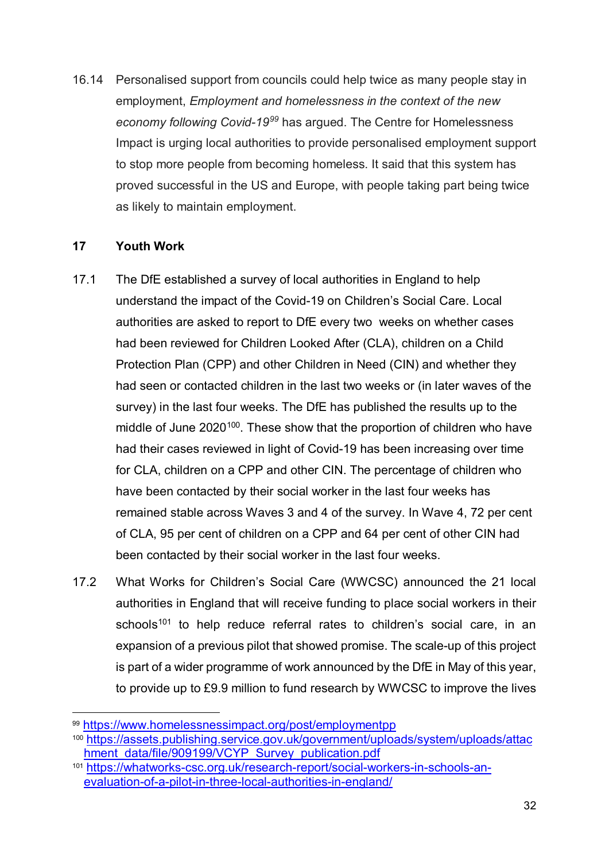16.14 Personalised support from councils could help twice as many people stay in employment, *Employment and homelessness in the context of the new economy following Covid-19[99](#page-31-0)* has argued. The Centre for Homelessness Impact is urging local authorities to provide personalised employment support to stop more people from becoming homeless. It said that this system has proved successful in the US and Europe, with people taking part being twice as likely to maintain employment.

#### **17 Youth Work**

- 17.1 The DfE established a survey of local authorities in England to help understand the impact of the Covid-19 on Children's Social Care. Local authorities are asked to report to DfE every two weeks on whether cases had been reviewed for Children Looked After (CLA), children on a Child Protection Plan (CPP) and other Children in Need (CIN) and whether they had seen or contacted children in the last two weeks or (in later waves of the survey) in the last four weeks. The DfE has published the results up to the middle of June 2020<sup>100</sup>. These show that the proportion of children who have had their cases reviewed in light of Covid-19 has been increasing over time for CLA, children on a CPP and other CIN. The percentage of children who have been contacted by their social worker in the last four weeks has remained stable across Waves 3 and 4 of the survey. In Wave 4, 72 per cent of CLA, 95 per cent of children on a CPP and 64 per cent of other CIN had been contacted by their social worker in the last four weeks.
- 17.2 What Works for Children's Social Care (WWCSC) announced the 21 local authorities in England that will receive funding to place social workers in their schools<sup>[101](#page-31-2)</sup> to help reduce referral rates to children's social care, in an expansion of a previous pilot that showed promise. The scale-up of this project is part of a wider programme of work announced by the DfE in May of this year, to provide up to £9.9 million to fund research by WWCSC to improve the lives

<span id="page-31-0"></span> <sup>99</sup> <https://www.homelessnessimpact.org/post/employmentpp>

<span id="page-31-1"></span><sup>100</sup>[.https://assets.publishing.service.gov.uk/government/uploads/system/uploads/attac](https://assets.publishing.service.gov.uk/government/uploads/system/uploads/attachment_data/file/909199/VCYP_Survey_publication.pdf) [hment\\_data/file/909199/VCYP\\_Survey\\_publication.pdf](https://assets.publishing.service.gov.uk/government/uploads/system/uploads/attachment_data/file/909199/VCYP_Survey_publication.pdf)

<span id="page-31-2"></span><sup>101</sup> [https://whatworks-csc.org.uk/research-report/social-workers-in-schools-an](https://whatworks-csc.org.uk/research-report/social-workers-in-schools-an-evaluation-of-a-pilot-in-three-local-authorities-in-england/)[evaluation-of-a-pilot-in-three-local-authorities-in-england/](https://whatworks-csc.org.uk/research-report/social-workers-in-schools-an-evaluation-of-a-pilot-in-three-local-authorities-in-england/)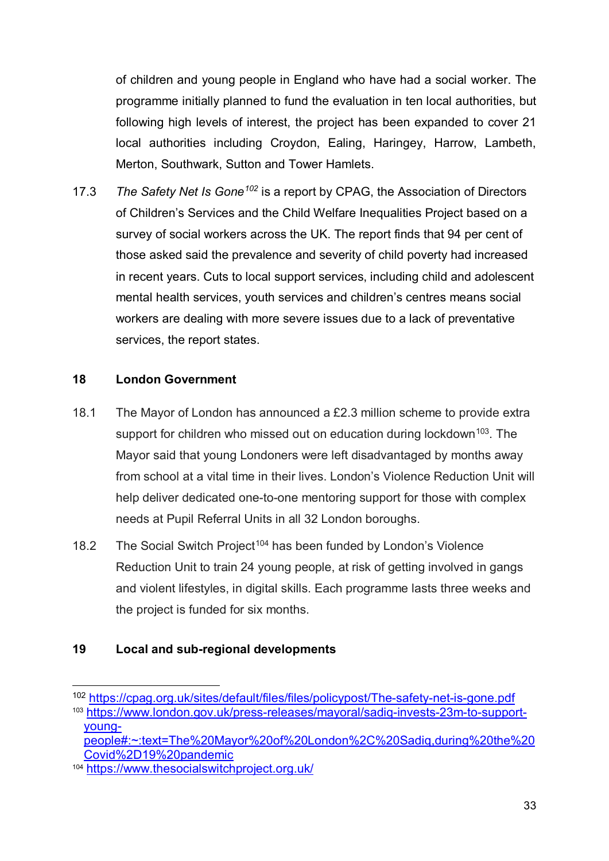of children and young people in England who have had a social worker. The programme initially planned to fund the evaluation in ten local authorities, but following high levels of interest, the project has been expanded to cover 21 local authorities including Croydon, Ealing, Haringey, Harrow, Lambeth, Merton, Southwark, Sutton and Tower Hamlets.

17.3 *The Safety Net Is Gone[102](#page-32-0)* is a report by CPAG, the Association of Directors of Children's Services and the Child Welfare Inequalities Project based on a survey of social workers across the UK. The report finds that 94 per cent of those asked said the prevalence and severity of child poverty had increased in recent years. Cuts to local support services, including child and adolescent mental health services, youth services and children's centres means social workers are dealing with more severe issues due to a lack of preventative services, the report states.

#### **18 London Government**

- 18.1 The Mayor of London has announced a £2.3 million scheme to provide extra support for children who missed out on education during lockdown<sup>[103](#page-32-1)</sup>. The Mayor said that young Londoners were left disadvantaged by months away from school at a vital time in their lives. London's Violence Reduction Unit will help deliver dedicated one-to-one mentoring support for those with complex needs at Pupil Referral Units in all 32 London boroughs.
- 18.2 The Social Switch Project<sup>[104](#page-32-2)</sup> has been funded by London's Violence Reduction Unit to train 24 young people, at risk of getting involved in gangs and violent lifestyles, in digital skills. Each programme lasts three weeks and the project is funded for six months.

#### **19 Local and sub-regional developments**

<span id="page-32-1"></span><span id="page-32-0"></span> <sup>102</sup> <https://cpag.org.uk/sites/default/files/files/policypost/The-safety-net-is-gone.pdf> <sup>103</sup> [https://www.london.gov.uk/press-releases/mayoral/sadiq-invests-23m-to-support](https://www.london.gov.uk/press-releases/mayoral/sadiq-invests-23m-to-support-young-people#:%7E:text=The%20Mayor%20of%20London%2C%20Sadiq,during%20the%20Covid%2D19%20pandemic)[young-](https://www.london.gov.uk/press-releases/mayoral/sadiq-invests-23m-to-support-young-people#:%7E:text=The%20Mayor%20of%20London%2C%20Sadiq,during%20the%20Covid%2D19%20pandemic)

[people#:~:text=The%20Mayor%20of%20London%2C%20Sadiq,during%20the%20](https://www.london.gov.uk/press-releases/mayoral/sadiq-invests-23m-to-support-young-people#:%7E:text=The%20Mayor%20of%20London%2C%20Sadiq,during%20the%20Covid%2D19%20pandemic) [Covid%2D19%20pandemic](https://www.london.gov.uk/press-releases/mayoral/sadiq-invests-23m-to-support-young-people#:%7E:text=The%20Mayor%20of%20London%2C%20Sadiq,during%20the%20Covid%2D19%20pandemic)

<span id="page-32-2"></span><sup>104</sup> <https://www.thesocialswitchproject.org.uk/>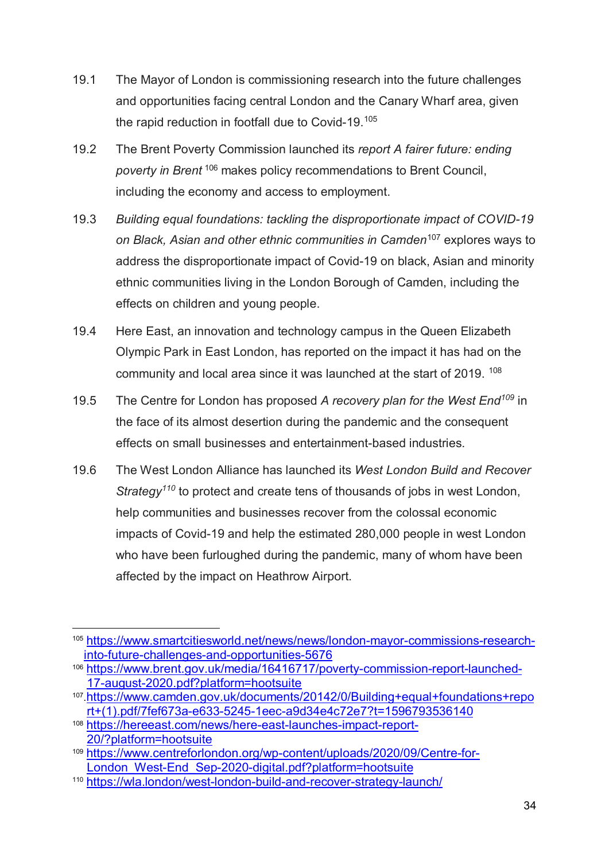- 19.1 The Mayor of London is commissioning research into the future challenges and opportunities facing central London and the Canary Wharf area, given the rapid reduction in footfall due to Covid-19.[105](#page-33-0)
- 19.2 The Brent Poverty Commission launched its *report A fairer future: ending poverty in Brent* [106](#page-33-1) makes policy recommendations to Brent Council, including the economy and access to employment.
- 19.3 *Building equal foundations: tackling the disproportionate impact of COVID-19 on Black, Asian and other ethnic communities in Camden*[107](#page-33-2) explores ways to address the disproportionate impact of Covid-19 on black, Asian and minority ethnic communities living in the London Borough of Camden, including the effects on children and young people.
- 19.4 Here East, an innovation and technology campus in the Queen Elizabeth Olympic Park in East London, has reported on the impact it has had on the community and local area since it was launched at the start of 2019. <sup>[108](#page-33-3)</sup>
- 19.5 The Centre for London has proposed *A recovery plan for the West End[109](#page-33-4)* in the face of its almost desertion during the pandemic and the consequent effects on small businesses and entertainment-based industries.
- 19.6 The West London Alliance has launched its *West London Build and Recover Strategy[110](#page-33-5)* to protect and create tens of thousands of jobs in west London, help communities and businesses recover from the colossal economic impacts of Covid-19 and help the estimated 280,000 people in west London who have been furloughed during the pandemic, many of whom have been affected by the impact on Heathrow Airport.

<span id="page-33-0"></span> <sup>105</sup> [https://www.smartcitiesworld.net/news/news/london-mayor-commissions-research](https://www.smartcitiesworld.net/news/news/london-mayor-commissions-research-into-future-challenges-and-opportunities-5676)[into-future-challenges-and-opportunities-5676](https://www.smartcitiesworld.net/news/news/london-mayor-commissions-research-into-future-challenges-and-opportunities-5676)

<span id="page-33-1"></span><sup>106</sup> [https://www.brent.gov.uk/media/16416717/poverty-commission-report-launched-](https://www.brent.gov.uk/media/16416717/poverty-commission-report-launched-17-august-2020.pdf?platform=hootsuite)[17-august-2020.pdf?platform=hootsuite](https://www.brent.gov.uk/media/16416717/poverty-commission-report-launched-17-august-2020.pdf?platform=hootsuite)

<span id="page-33-2"></span><sup>107</sup>[.https://www.camden.gov.uk/documents/20142/0/Building+equal+foundations+repo](https://www.camden.gov.uk/documents/20142/0/Building+equal+foundations+report+(1).pdf/7fef673a-e633-5245-1eec-a9d34e4c72e7?t=1596793536140) [rt+\(1\).pdf/7fef673a-e633-5245-1eec-a9d34e4c72e7?t=1596793536140](https://www.camden.gov.uk/documents/20142/0/Building+equal+foundations+report+(1).pdf/7fef673a-e633-5245-1eec-a9d34e4c72e7?t=1596793536140)

<span id="page-33-3"></span><sup>108</sup> [https://hereeast.com/news/here-east-launches-impact-report-](https://hereeast.com/news/here-east-launches-impact-report-20/?platform=hootsuite)[20/?platform=hootsuite](https://hereeast.com/news/here-east-launches-impact-report-20/?platform=hootsuite)

<span id="page-33-4"></span><sup>109</sup> [https://www.centreforlondon.org/wp-content/uploads/2020/09/Centre-for-](https://www.centreforlondon.org/wp-content/uploads/2020/09/Centre-for-London_West-End_Sep-2020-digital.pdf?platform=hootsuite)[London\\_West-End\\_Sep-2020-digital.pdf?platform=hootsuite](https://www.centreforlondon.org/wp-content/uploads/2020/09/Centre-for-London_West-End_Sep-2020-digital.pdf?platform=hootsuite)

<span id="page-33-5"></span><sup>110</sup> <https://wla.london/west-london-build-and-recover-strategy-launch/>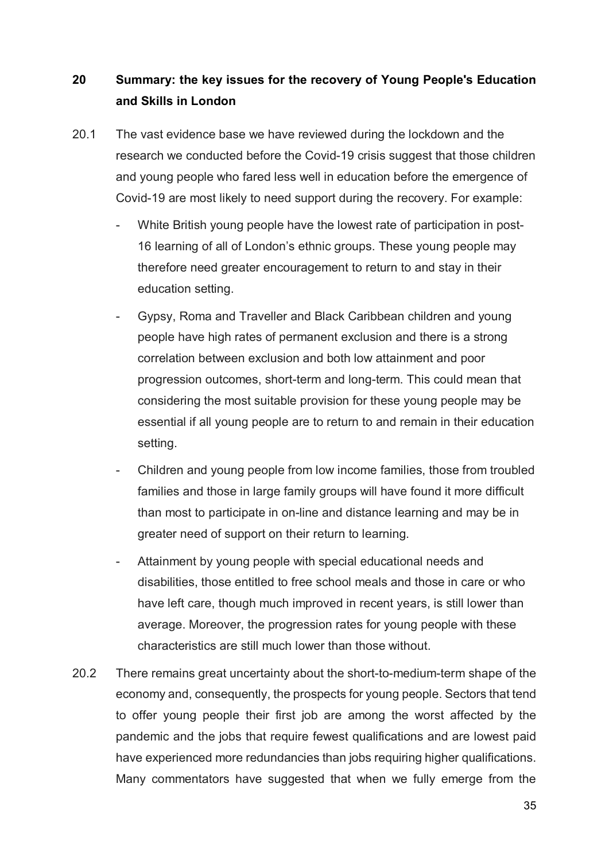## **20 Summary: the key issues for the recovery of Young People's Education and Skills in London**

- 20.1 The vast evidence base we have reviewed during the lockdown and the research we conducted before the Covid-19 crisis suggest that those children and young people who fared less well in education before the emergence of Covid-19 are most likely to need support during the recovery. For example:
	- White British young people have the lowest rate of participation in post-16 learning of all of London's ethnic groups. These young people may therefore need greater encouragement to return to and stay in their education setting.
	- Gypsy, Roma and Traveller and Black Caribbean children and young people have high rates of permanent exclusion and there is a strong correlation between exclusion and both low attainment and poor progression outcomes, short-term and long-term. This could mean that considering the most suitable provision for these young people may be essential if all young people are to return to and remain in their education setting.
	- Children and young people from low income families, those from troubled families and those in large family groups will have found it more difficult than most to participate in on-line and distance learning and may be in greater need of support on their return to learning.
	- Attainment by young people with special educational needs and disabilities, those entitled to free school meals and those in care or who have left care, though much improved in recent years, is still lower than average. Moreover, the progression rates for young people with these characteristics are still much lower than those without.
- 20.2 There remains great uncertainty about the short-to-medium-term shape of the economy and, consequently, the prospects for young people. Sectors that tend to offer young people their first job are among the worst affected by the pandemic and the jobs that require fewest qualifications and are lowest paid have experienced more redundancies than jobs requiring higher qualifications. Many commentators have suggested that when we fully emerge from the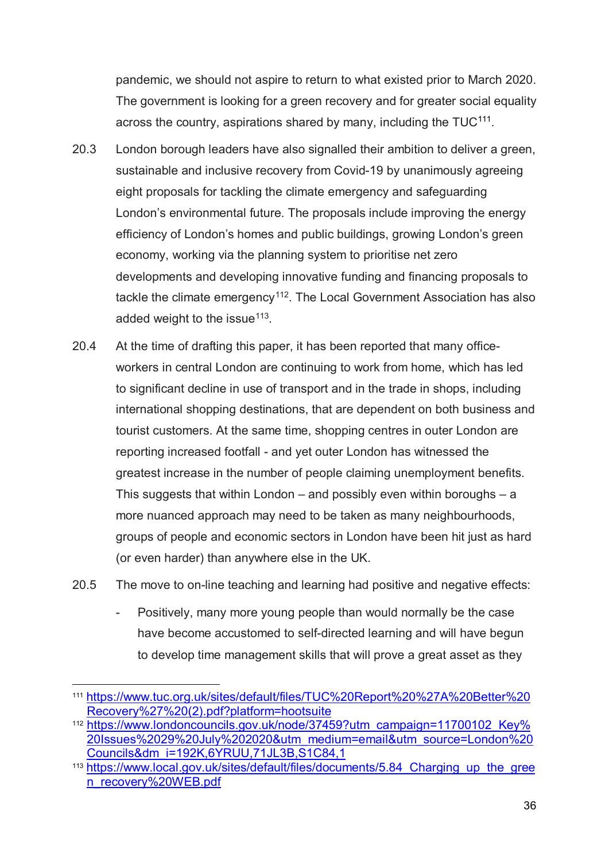pandemic, we should not aspire to return to what existed prior to March 2020. The government is looking for a green recovery and for greater social equality across the country, aspirations shared by many, including the TUC<sup>111</sup>.

- 20.3 London borough leaders have also signalled their ambition to deliver a green, sustainable and inclusive recovery from Covid-19 by unanimously agreeing eight proposals for tackling the climate emergency and safeguarding London's environmental future. The proposals include improving the energy efficiency of London's homes and public buildings, growing London's green economy, working via the planning system to prioritise net zero developments and developing innovative funding and financing proposals to tackle the climate emergency<sup>[112](#page-35-1)</sup>. The Local Government Association has also added weight to the issue<sup>113</sup>.
- 20.4 At the time of drafting this paper, it has been reported that many officeworkers in central London are continuing to work from home, which has led to significant decline in use of transport and in the trade in shops, including international shopping destinations, that are dependent on both business and tourist customers. At the same time, shopping centres in outer London are reporting increased footfall - and yet outer London has witnessed the greatest increase in the number of people claiming unemployment benefits. This suggests that within London – and possibly even within boroughs – a more nuanced approach may need to be taken as many neighbourhoods, groups of people and economic sectors in London have been hit just as hard (or even harder) than anywhere else in the UK.
- 20.5 The move to on-line teaching and learning had positive and negative effects:
	- Positively, many more young people than would normally be the case have become accustomed to self-directed learning and will have begun to develop time management skills that will prove a great asset as they

<span id="page-35-0"></span> <sup>111</sup>[.https://www.tuc.org.uk/sites/default/files/TUC%20Report%20%27A%20Better%20](https://www.tuc.org.uk/sites/default/files/TUC%20Report%20%27A%20Better%20Recovery%27%20(2).pdf?platform=hootsuite) [Recovery%27%20\(2\).pdf?platform=hootsuite](https://www.tuc.org.uk/sites/default/files/TUC%20Report%20%27A%20Better%20Recovery%27%20(2).pdf?platform=hootsuite)

<span id="page-35-1"></span><sup>112</sup>[.https://www.londoncouncils.gov.uk/node/37459?utm\\_campaign=11700102\\_Key%](https://www.londoncouncils.gov.uk/node/37459?utm_campaign=11700102_Key%20Issues%2029%20July%202020&utm_medium=email&utm_source=London%20Councils&dm_i=192K,6YRUU,71JL3B,S1C84,1) [20Issues%2029%20July%202020&utm\\_medium=email&utm\\_source=London%20](https://www.londoncouncils.gov.uk/node/37459?utm_campaign=11700102_Key%20Issues%2029%20July%202020&utm_medium=email&utm_source=London%20Councils&dm_i=192K,6YRUU,71JL3B,S1C84,1) [Councils&dm\\_i=192K,6YRUU,71JL3B,S1C84,1](https://www.londoncouncils.gov.uk/node/37459?utm_campaign=11700102_Key%20Issues%2029%20July%202020&utm_medium=email&utm_source=London%20Councils&dm_i=192K,6YRUU,71JL3B,S1C84,1)

<span id="page-35-2"></span><sup>&</sup>lt;sup>113</sup> https://www.local.gov.uk/sites/default/files/documents/5.84 Charging up the gree [n\\_recovery%20WEB.pdf](https://www.local.gov.uk/sites/default/files/documents/5.84_Charging_up_the_green_recovery%20WEB.pdf)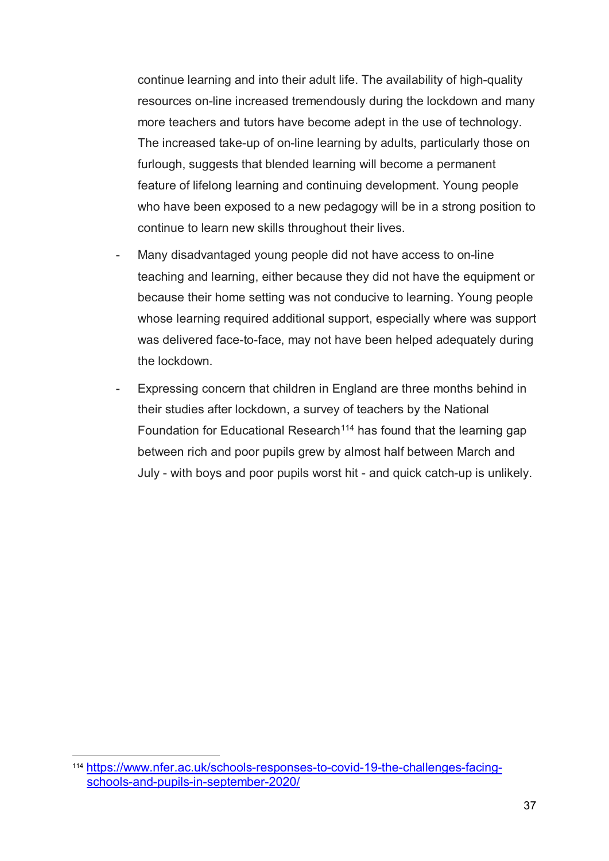continue learning and into their adult life. The availability of high-quality resources on-line increased tremendously during the lockdown and many more teachers and tutors have become adept in the use of technology. The increased take-up of on-line learning by adults, particularly those on furlough, suggests that blended learning will become a permanent feature of lifelong learning and continuing development. Young people who have been exposed to a new pedagogy will be in a strong position to continue to learn new skills throughout their lives.

- Many disadvantaged young people did not have access to on-line teaching and learning, either because they did not have the equipment or because their home setting was not conducive to learning. Young people whose learning required additional support, especially where was support was delivered face-to-face, may not have been helped adequately during the lockdown.
- Expressing concern that children in England are three months behind in their studies after lockdown, a survey of teachers by the National Foundation for Educational Research<sup>[114](#page-36-0)</sup> has found that the learning gap between rich and poor pupils grew by almost half between March and July - with boys and poor pupils worst hit - and quick catch-up is unlikely.

<span id="page-36-0"></span> <sup>114</sup> [https://www.nfer.ac.uk/schools-responses-to-covid-19-the-challenges-facing](https://www.nfer.ac.uk/schools-responses-to-covid-19-the-challenges-facing-schools-and-pupils-in-september-2020/)[schools-and-pupils-in-september-2020/](https://www.nfer.ac.uk/schools-responses-to-covid-19-the-challenges-facing-schools-and-pupils-in-september-2020/)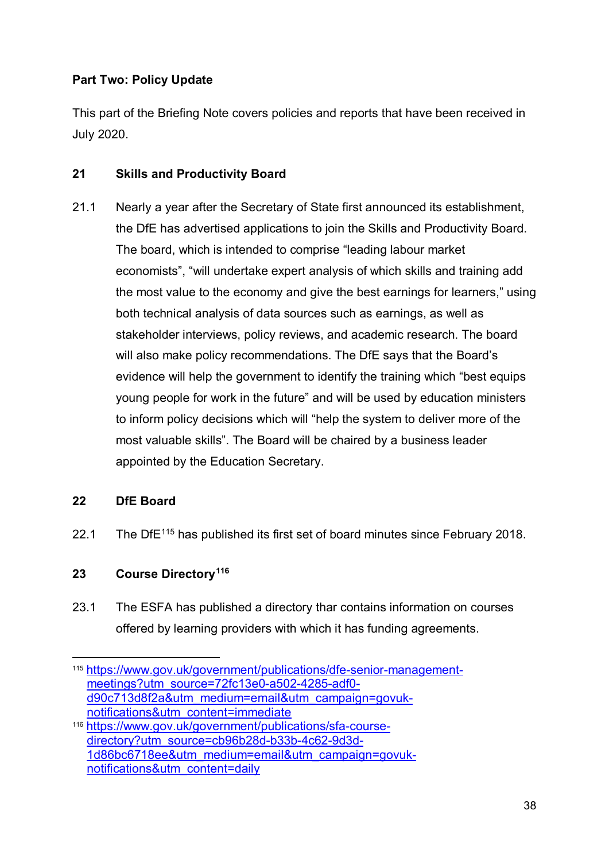#### **Part Two: Policy Update**

This part of the Briefing Note covers policies and reports that have been received in July 2020.

#### **21 Skills and Productivity Board**

21.1 Nearly a year after the Secretary of State first announced its establishment, the DfE has advertised applications to join the Skills and Productivity Board. The board, which is intended to comprise "leading labour market economists", "will undertake expert analysis of which skills and training add the most value to the economy and give the best earnings for learners," using both technical analysis of data sources such as earnings, as well as stakeholder interviews, policy reviews, and academic research. The board will also make policy recommendations. The DfE says that the Board's evidence will help the government to identify the training which "best equips young people for work in the future" and will be used by education ministers to inform policy decisions which will "help the system to deliver more of the most valuable skills". The Board will be chaired by a business leader appointed by the Education Secretary.

#### **22 DfE Board**

22.1 The DfE<sup>[115](#page-37-0)</sup> has published its first set of board minutes since February 2018.

#### **23 Course Directory[116](#page-37-1)**

23.1 The ESFA has published a directory thar contains information on courses offered by learning providers with which it has funding agreements.

<span id="page-37-0"></span> <sup>115</sup> [https://www.gov.uk/government/publications/dfe-senior-management](https://www.gov.uk/government/publications/dfe-senior-management-meetings?utm_source=72fc13e0-a502-4285-adf0-d90c713d8f2a&utm_medium=email&utm_campaign=govuk-notifications&utm_content=immediate)[meetings?utm\\_source=72fc13e0-a502-4285-adf0](https://www.gov.uk/government/publications/dfe-senior-management-meetings?utm_source=72fc13e0-a502-4285-adf0-d90c713d8f2a&utm_medium=email&utm_campaign=govuk-notifications&utm_content=immediate) [d90c713d8f2a&utm\\_medium=email&utm\\_campaign=govuk](https://www.gov.uk/government/publications/dfe-senior-management-meetings?utm_source=72fc13e0-a502-4285-adf0-d90c713d8f2a&utm_medium=email&utm_campaign=govuk-notifications&utm_content=immediate)[notifications&utm\\_content=immediate](https://www.gov.uk/government/publications/dfe-senior-management-meetings?utm_source=72fc13e0-a502-4285-adf0-d90c713d8f2a&utm_medium=email&utm_campaign=govuk-notifications&utm_content=immediate) <sup>116</sup> [https://www.gov.uk/government/publications/sfa-course-](https://www.gov.uk/government/publications/sfa-course-directory?utm_source=cb96b28d-b33b-4c62-9d3d-1d86bc6718ee&utm_medium=email&utm_campaign=govuk-notifications&utm_content=daily)

<span id="page-37-1"></span>[directory?utm\\_source=cb96b28d-b33b-4c62-9d3d-](https://www.gov.uk/government/publications/sfa-course-directory?utm_source=cb96b28d-b33b-4c62-9d3d-1d86bc6718ee&utm_medium=email&utm_campaign=govuk-notifications&utm_content=daily)[1d86bc6718ee&utm\\_medium=email&utm\\_campaign=govuk](https://www.gov.uk/government/publications/sfa-course-directory?utm_source=cb96b28d-b33b-4c62-9d3d-1d86bc6718ee&utm_medium=email&utm_campaign=govuk-notifications&utm_content=daily)[notifications&utm\\_content=daily](https://www.gov.uk/government/publications/sfa-course-directory?utm_source=cb96b28d-b33b-4c62-9d3d-1d86bc6718ee&utm_medium=email&utm_campaign=govuk-notifications&utm_content=daily)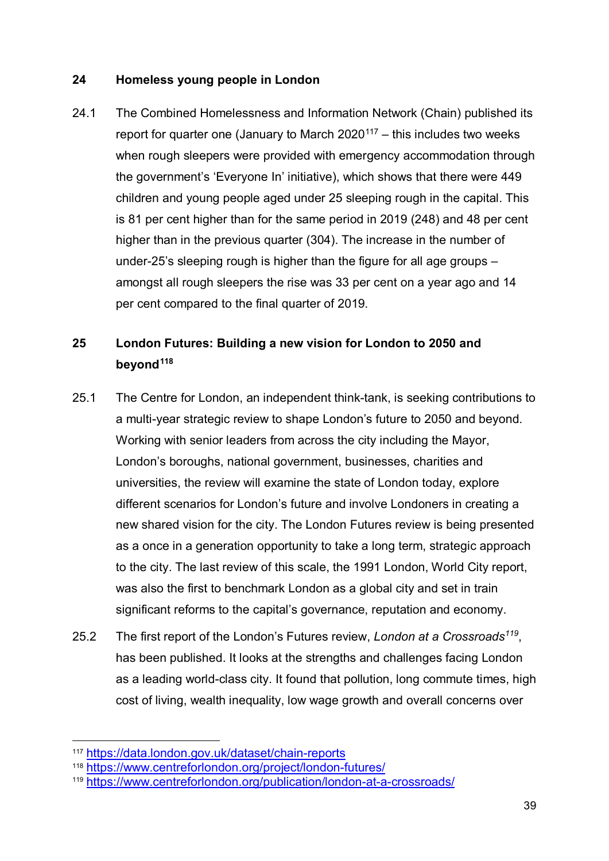#### **24 Homeless young people in London**

24.1 The Combined Homelessness and Information Network (Chain) published its report for quarter one (January to March  $2020^{117}$  $2020^{117}$  $2020^{117}$  – this includes two weeks when rough sleepers were provided with emergency accommodation through the government's 'Everyone In' initiative), which shows that there were 449 children and young people aged under 25 sleeping rough in the capital. This is 81 per cent higher than for the same period in 2019 (248) and 48 per cent higher than in the previous quarter (304). The increase in the number of under-25's sleeping rough is higher than the figure for all age groups – amongst all rough sleepers the rise was 33 per cent on a year ago and 14 per cent compared to the final quarter of 2019.

## **25 London Futures: Building a new vision for London to 2050 and beyond[118](#page-38-1)**

- 25.1 The Centre for London, an independent think-tank, is seeking contributions to a multi-year strategic review to shape London's future to 2050 and beyond. Working with senior leaders from across the city including the Mayor, London's boroughs, national government, businesses, charities and universities, the review will examine the state of London today, explore different scenarios for London's future and involve Londoners in creating a new shared vision for the city. The London Futures review is being presented as a once in a generation opportunity to take a long term, strategic approach to the city. The last review of this scale, the 1991 London, World City report, was also the first to benchmark London as a global city and set in train significant reforms to the capital's governance, reputation and economy.
- 25.2 The first report of the London's Futures review, *London at a Crossroads[119](#page-38-2)*, has been published. It looks at the strengths and challenges facing London as a leading world-class city. It found that pollution, long commute times, high cost of living, wealth inequality, low wage growth and overall concerns over

<span id="page-38-0"></span> <sup>117</sup> <https://data.london.gov.uk/dataset/chain-reports>

<span id="page-38-1"></span><sup>118</sup> <https://www.centreforlondon.org/project/london-futures/>

<span id="page-38-2"></span><sup>119</sup> <https://www.centreforlondon.org/publication/london-at-a-crossroads/>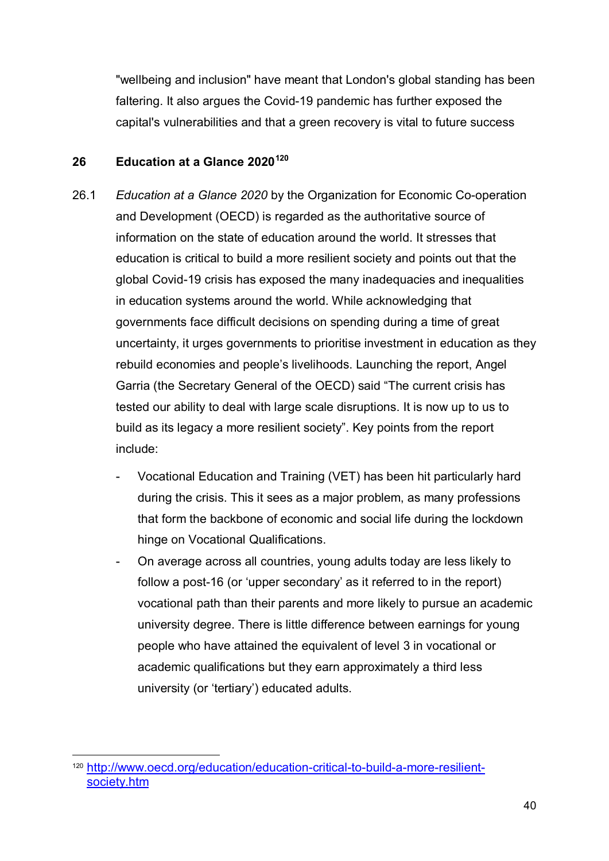"wellbeing and inclusion" have meant that London's global standing has been faltering. It also argues the Covid-19 pandemic has further exposed the capital's vulnerabilities and that a green recovery is vital to future success

#### **26 Education at a Glance 2020[120](#page-39-0)**

- 26.1 *Education at a Glance 2020* by the Organization for Economic Co-operation and Development (OECD) is regarded as the authoritative source of information on the state of education around the world. It stresses that education is critical to build a more resilient society and points out that the global Covid-19 crisis has exposed the many inadequacies and inequalities in education systems around the world. While acknowledging that governments face difficult decisions on spending during a time of great uncertainty, it urges governments to prioritise investment in education as they rebuild economies and people's livelihoods. Launching the report, Angel Garria (the Secretary General of the OECD) said "The current crisis has tested our ability to deal with large scale disruptions. It is now up to us to build as its legacy a more resilient society". Key points from the report include:
	- Vocational Education and Training (VET) has been hit particularly hard during the crisis. This it sees as a major problem, as many professions that form the backbone of economic and social life during the lockdown hinge on Vocational Qualifications.
	- On average across all countries, young adults today are less likely to follow a post-16 (or 'upper secondary' as it referred to in the report) vocational path than their parents and more likely to pursue an academic university degree. There is little difference between earnings for young people who have attained the equivalent of level 3 in vocational or academic qualifications but they earn approximately a third less university (or 'tertiary') educated adults.

<span id="page-39-0"></span> <sup>120</sup> [http://www.oecd.org/education/education-critical-to-build-a-more-resilient](http://www.oecd.org/education/education-critical-to-build-a-more-resilient-society.htm)[society.htm](http://www.oecd.org/education/education-critical-to-build-a-more-resilient-society.htm)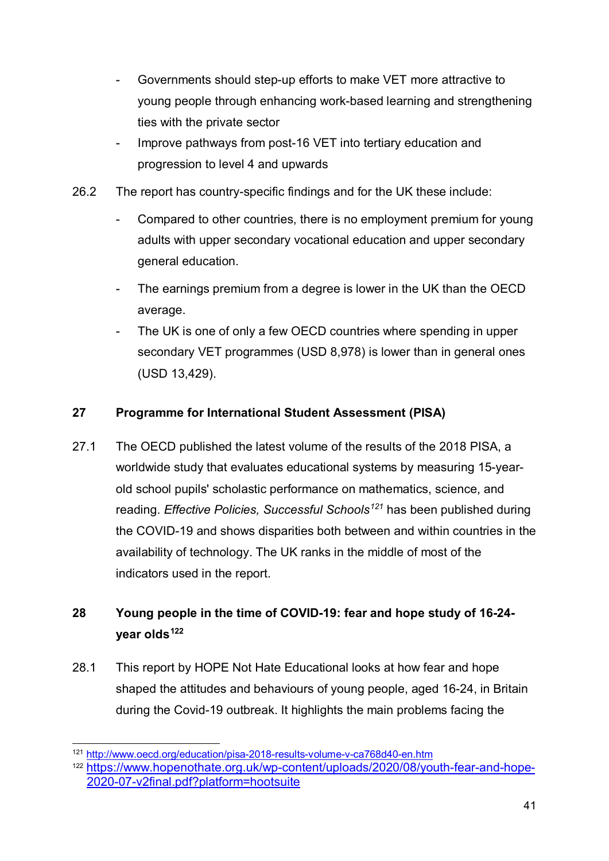- Governments should step-up efforts to make VET more attractive to young people through enhancing work-based learning and strengthening ties with the private sector
- Improve pathways from post-16 VET into tertiary education and progression to level 4 and upwards
- 26.2 The report has country-specific findings and for the UK these include:
	- Compared to other countries, there is no employment premium for young adults with upper secondary vocational education and upper secondary general education.
	- The earnings premium from a degree is lower in the UK than the OECD average.
	- The UK is one of only a few OECD countries where spending in upper secondary VET programmes (USD 8,978) is lower than in general ones (USD 13,429).

#### **27 Programme for International Student Assessment (PISA)**

27.1 The OECD published the latest volume of the results of the 2018 PISA, a worldwide study that evaluates educational systems by measuring 15-yearold school pupils' scholastic performance on mathematics, science, and reading. *Effective Policies, Successful Schools[121](#page-40-0)* has been published during the COVID-19 and shows disparities both between and within countries in the availability of technology. The UK ranks in the middle of most of the indicators used in the report.

## **28 Young people in the time of COVID-19: fear and hope study of 16-24 year olds[122](#page-40-1)**

28.1 This report by HOPE Not Hate Educational looks at how fear and hope shaped the attitudes and behaviours of young people, aged 16-24, in Britain during the Covid-19 outbreak. It highlights the main problems facing the

<span id="page-40-0"></span> <sup>121</sup> <http://www.oecd.org/education/pisa-2018-results-volume-v-ca768d40-en.htm>

<span id="page-40-1"></span><sup>122</sup> [https://www.hopenothate.org.uk/wp-content/uploads/2020/08/youth-fear-and-hope-](https://www.hopenothate.org.uk/wp-content/uploads/2020/08/youth-fear-and-hope-2020-07-v2final.pdf?platform=hootsuite)[2020-07-v2final.pdf?platform=hootsuite](https://www.hopenothate.org.uk/wp-content/uploads/2020/08/youth-fear-and-hope-2020-07-v2final.pdf?platform=hootsuite)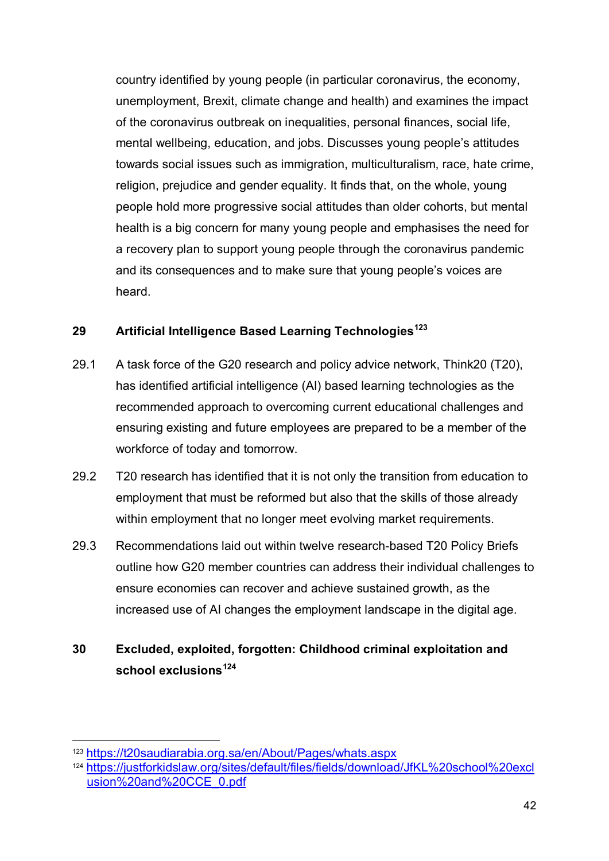country identified by young people (in particular coronavirus, the economy, unemployment, Brexit, climate change and health) and examines the impact of the coronavirus outbreak on inequalities, personal finances, social life, mental wellbeing, education, and jobs. Discusses young people's attitudes towards social issues such as immigration, multiculturalism, race, hate crime, religion, prejudice and gender equality. It finds that, on the whole, young people hold more progressive social attitudes than older cohorts, but mental health is a big concern for many young people and emphasises the need for a recovery plan to support young people through the coronavirus pandemic and its consequences and to make sure that young people's voices are heard.

#### **29 Artificial Intelligence Based Learning Technologies[123](#page-41-0)**

- 29.1 A task force of the G20 research and policy advice network, Think20 (T20), has identified artificial intelligence (AI) based learning technologies as the recommended approach to overcoming current educational challenges and ensuring existing and future employees are prepared to be a member of the workforce of today and tomorrow.
- 29.2 T20 research has identified that it is not only the transition from education to employment that must be reformed but also that the skills of those already within employment that no longer meet evolving market requirements.
- 29.3 Recommendations laid out within twelve research-based T20 Policy Briefs outline how G20 member countries can address their individual challenges to ensure economies can recover and achieve sustained growth, as the increased use of AI changes the employment landscape in the digital age.

## **30 Excluded, exploited, forgotten: Childhood criminal exploitation and school exclusions[124](#page-41-1)**

<span id="page-41-0"></span> <sup>123</sup> <https://t20saudiarabia.org.sa/en/About/Pages/whats.aspx>

<span id="page-41-1"></span><sup>124</sup>[.https://justforkidslaw.org/sites/default/files/fields/download/JfKL%20school%20excl](https://justforkidslaw.org/sites/default/files/fields/download/JfKL%20school%20exclusion%20and%20CCE_0.pdf) [usion%20and%20CCE\\_0.pdf](https://justforkidslaw.org/sites/default/files/fields/download/JfKL%20school%20exclusion%20and%20CCE_0.pdf)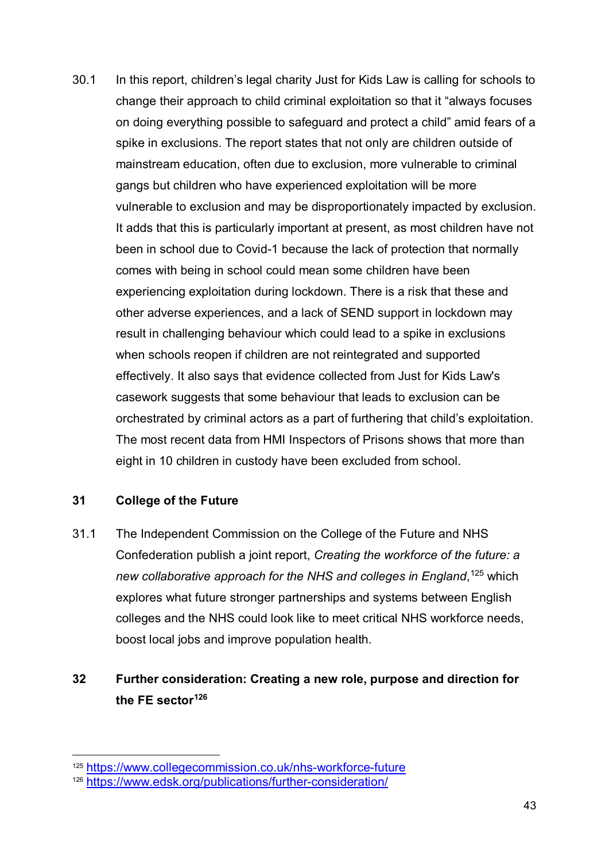30.1 In this report, children's legal charity Just for Kids Law is calling for schools to change their approach to child criminal exploitation so that it "always focuses on doing everything possible to safeguard and protect a child" amid fears of a spike in exclusions. The report states that not only are children outside of mainstream education, often due to exclusion, more vulnerable to criminal gangs but children who have experienced exploitation will be more vulnerable to exclusion and may be disproportionately impacted by exclusion. It adds that this is particularly important at present, as most children have not been in school due to Covid-1 because the lack of protection that normally comes with being in school could mean some children have been experiencing exploitation during lockdown. There is a risk that these and other adverse experiences, and a lack of SEND support in lockdown may result in challenging behaviour which could lead to a spike in exclusions when schools reopen if children are not reintegrated and supported effectively. It also says that evidence collected from Just for Kids Law's casework suggests that some behaviour that leads to exclusion can be orchestrated by criminal actors as a part of furthering that child's exploitation. The most recent data from HMI Inspectors of Prisons shows that more than eight in 10 children in custody have been excluded from school.

#### **31 College of the Future**

31.1 The Independent Commission on the College of the Future and NHS Confederation publish a joint report, *Creating the workforce of the future: a new collaborative approach for the NHS and colleges in England*, [125](#page-42-0) which explores what future stronger partnerships and systems between English colleges and the NHS could look like to meet critical NHS workforce needs, boost local jobs and improve population health.

### **32 Further consideration: Creating a new role, purpose and direction for the FE sector[126](#page-42-1)**

<span id="page-42-0"></span> <sup>125</sup> <https://www.collegecommission.co.uk/nhs-workforce-future>

<span id="page-42-1"></span><sup>126</sup> <https://www.edsk.org/publications/further-consideration/>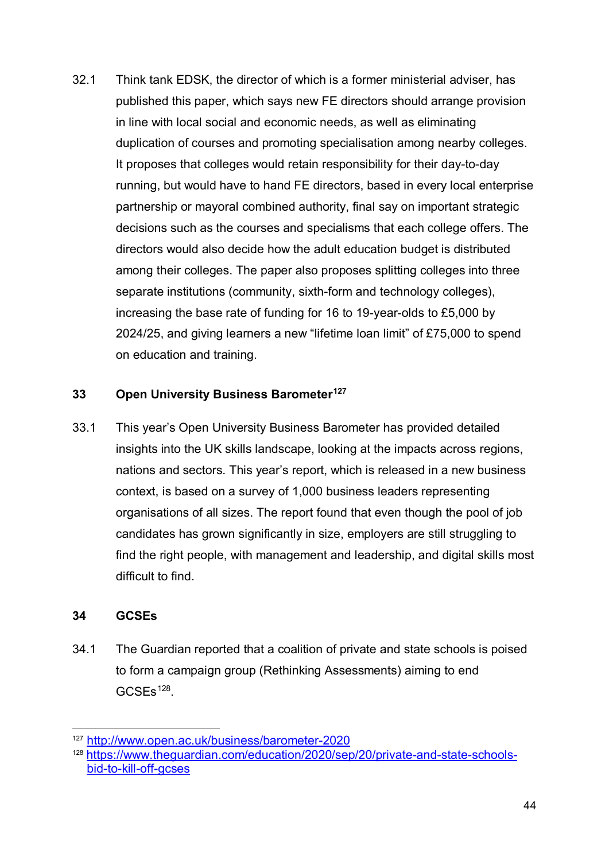32.1 Think tank EDSK, the director of which is a former ministerial adviser, has published this paper, which says new FE directors should arrange provision in line with local social and economic needs, as well as eliminating duplication of courses and promoting specialisation among nearby colleges. It proposes that colleges would retain responsibility for their day-to-day running, but would have to hand FE directors, based in every local enterprise partnership or mayoral combined authority, final say on important strategic decisions such as the courses and specialisms that each college offers. The directors would also decide how the adult education budget is distributed among their colleges. The paper also proposes splitting colleges into three separate institutions (community, sixth-form and technology colleges), increasing the base rate of funding for 16 to 19-year-olds to £5,000 by 2024/25, and giving learners a new "lifetime loan limit" of £75,000 to spend on education and training.

#### **33 Open University Business Barometer[127](#page-43-0)**

33.1 This year's Open University Business Barometer has provided detailed insights into the UK skills landscape, looking at the impacts across regions, nations and sectors. This year's report, which is released in a new business context, is based on a survey of 1,000 business leaders representing organisations of all sizes. The report found that even though the pool of job candidates has grown significantly in size, employers are still struggling to find the right people, with management and leadership, and digital skills most difficult to find.

#### **34 GCSEs**

34.1 The Guardian reported that a coalition of private and state schools is poised to form a campaign group (Rethinking Assessments) aiming to end GCSEs<sup>128</sup>.

<span id="page-43-0"></span> <sup>127</sup> <http://www.open.ac.uk/business/barometer-2020>

<span id="page-43-1"></span><sup>128</sup> [https://www.theguardian.com/education/2020/sep/20/private-and-state-schools](https://www.theguardian.com/education/2020/sep/20/private-and-state-schools-bid-to-kill-off-gcses)[bid-to-kill-off-gcses](https://www.theguardian.com/education/2020/sep/20/private-and-state-schools-bid-to-kill-off-gcses)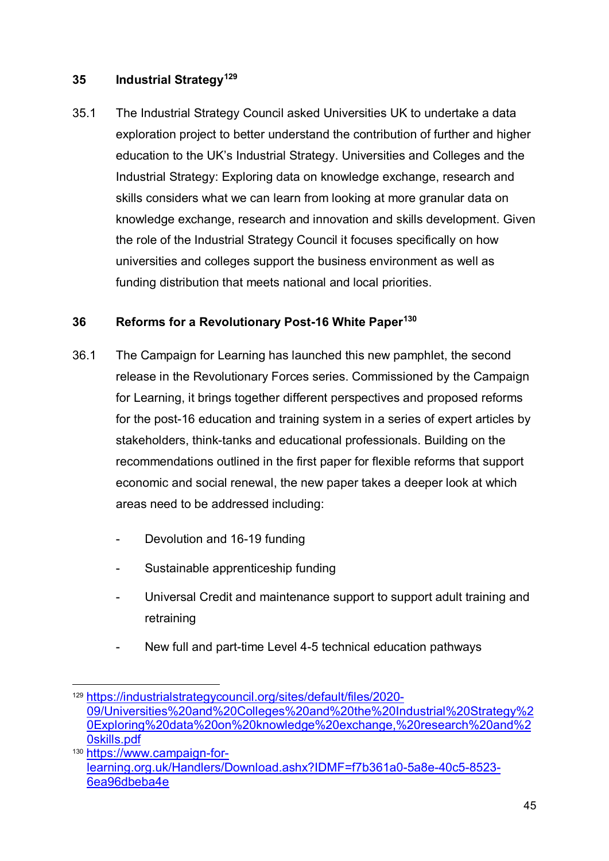#### **35 Industrial Strategy[129](#page-44-0)**

35.1 The Industrial Strategy Council asked Universities UK to undertake a data exploration project to better understand the contribution of further and higher education to the UK's Industrial Strategy. Universities and Colleges and the Industrial Strategy: Exploring data on knowledge exchange, research and skills considers what we can learn from looking at more granular data on knowledge exchange, research and innovation and skills development. Given the role of the Industrial Strategy Council it focuses specifically on how universities and colleges support the business environment as well as funding distribution that meets national and local priorities.

#### **36 Reforms for a Revolutionary Post-16 White Paper[130](#page-44-1)**

- 36.1 The Campaign for Learning has launched this new pamphlet, the second release in the Revolutionary Forces series. Commissioned by the Campaign for Learning, it brings together different perspectives and proposed reforms for the post-16 education and training system in a series of expert articles by stakeholders, think-tanks and educational professionals. Building on the recommendations outlined in the first paper for flexible reforms that support economic and social renewal, the new paper takes a deeper look at which areas need to be addressed including:
	- Devolution and 16-19 funding
	- Sustainable apprenticeship funding
	- Universal Credit and maintenance support to support adult training and retraining
	- New full and part-time Level 4-5 technical education pathways

<span id="page-44-0"></span> <sup>129</sup> [https://industrialstrategycouncil.org/sites/default/files/2020-](https://industrialstrategycouncil.org/sites/default/files/2020-09/Universities%20and%20Colleges%20and%20the%20Industrial%20Strategy%20Exploring%20data%20on%20knowledge%20exchange,%20research%20and%20skills.pdf) [09/Universities%20and%20Colleges%20and%20the%20Industrial%20Strategy%2](https://industrialstrategycouncil.org/sites/default/files/2020-09/Universities%20and%20Colleges%20and%20the%20Industrial%20Strategy%20Exploring%20data%20on%20knowledge%20exchange,%20research%20and%20skills.pdf) [0Exploring%20data%20on%20knowledge%20exchange,%20research%20and%2](https://industrialstrategycouncil.org/sites/default/files/2020-09/Universities%20and%20Colleges%20and%20the%20Industrial%20Strategy%20Exploring%20data%20on%20knowledge%20exchange,%20research%20and%20skills.pdf) [0skills.pdf](https://industrialstrategycouncil.org/sites/default/files/2020-09/Universities%20and%20Colleges%20and%20the%20Industrial%20Strategy%20Exploring%20data%20on%20knowledge%20exchange,%20research%20and%20skills.pdf)

<span id="page-44-1"></span><sup>130</sup> [https://www.campaign-for](https://www.campaign-for-learning.org.uk/Handlers/Download.ashx?IDMF=f7b361a0-5a8e-40c5-8523-6ea96dbeba4e)[learning.org.uk/Handlers/Download.ashx?IDMF=f7b361a0-5a8e-40c5-8523-](https://www.campaign-for-learning.org.uk/Handlers/Download.ashx?IDMF=f7b361a0-5a8e-40c5-8523-6ea96dbeba4e) [6ea96dbeba4e](https://www.campaign-for-learning.org.uk/Handlers/Download.ashx?IDMF=f7b361a0-5a8e-40c5-8523-6ea96dbeba4e)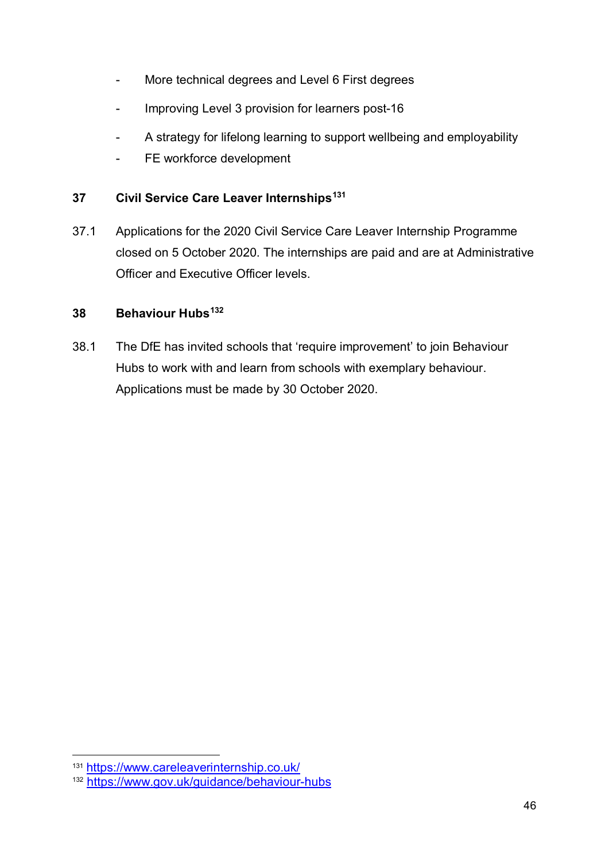- More technical degrees and Level 6 First degrees
- Improving Level 3 provision for learners post-16
- A strategy for lifelong learning to support wellbeing and employability
- FE workforce development

#### **37 Civil Service Care Leaver Internships[131](#page-45-0)**

37.1 Applications for the 2020 Civil Service Care Leaver Internship Programme closed on 5 October 2020. The internships are paid and are at Administrative Officer and Executive Officer levels.

#### **38 Behaviour Hubs[132](#page-45-1)**

38.1 The DfE has invited schools that 'require improvement' to join Behaviour Hubs to work with and learn from schools with exemplary behaviour. Applications must be made by 30 October 2020.

<span id="page-45-0"></span> <sup>131</sup> <https://www.careleaverinternship.co.uk/>

<span id="page-45-1"></span><sup>132</sup> <https://www.gov.uk/guidance/behaviour-hubs>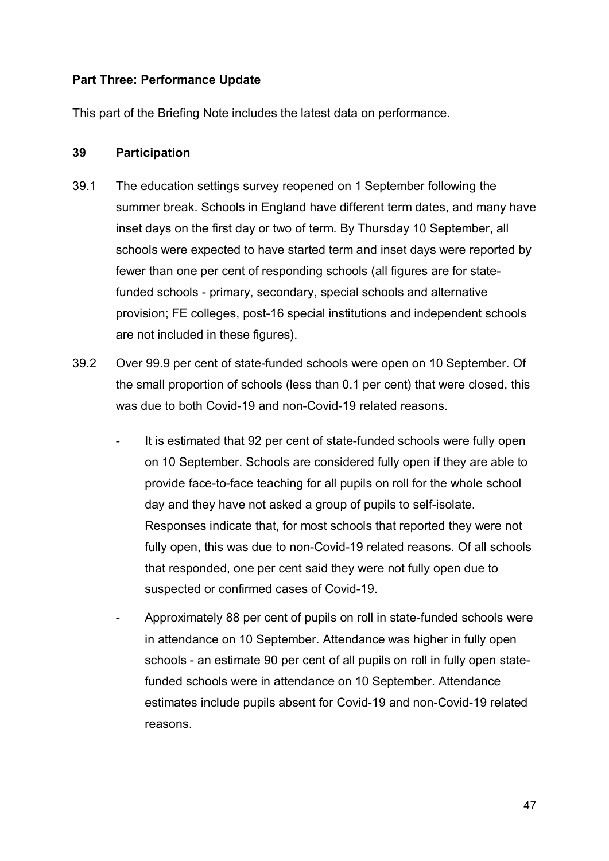#### **Part Three: Performance Update**

This part of the Briefing Note includes the latest data on performance.

#### **39 Participation**

- 39.1 The education settings survey reopened on 1 September following the summer break. Schools in England have different term dates, and many have inset days on the first day or two of term. By Thursday 10 September, all schools were expected to have started term and inset days were reported by fewer than one per cent of responding schools (all figures are for statefunded schools - primary, secondary, special schools and alternative provision; FE colleges, post-16 special institutions and independent schools are not included in these figures).
- 39.2 Over 99.9 per cent of state-funded schools were open on 10 September. Of the small proportion of schools (less than 0.1 per cent) that were closed, this was due to both Covid-19 and non-Covid-19 related reasons.
	- It is estimated that 92 per cent of state-funded schools were fully open on 10 September. Schools are considered fully open if they are able to provide face-to-face teaching for all pupils on roll for the whole school day and they have not asked a group of pupils to self-isolate. Responses indicate that, for most schools that reported they were not fully open, this was due to non-Covid-19 related reasons. Of all schools that responded, one per cent said they were not fully open due to suspected or confirmed cases of Covid-19.
	- Approximately 88 per cent of pupils on roll in state-funded schools were in attendance on 10 September. Attendance was higher in fully open schools - an estimate 90 per cent of all pupils on roll in fully open statefunded schools were in attendance on 10 September. Attendance estimates include pupils absent for Covid-19 and non-Covid-19 related reasons.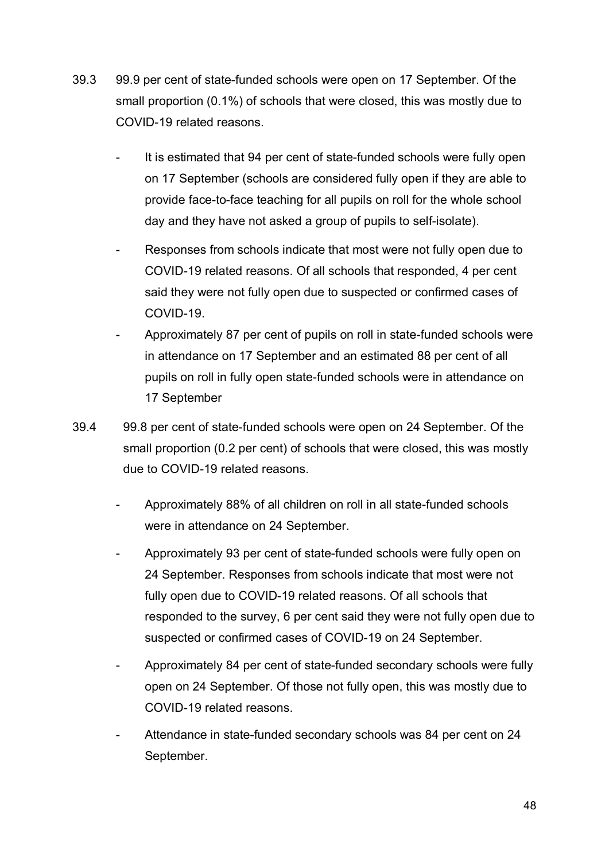- 39.3 99.9 per cent of state-funded schools were open on 17 September. Of the small proportion (0.1%) of schools that were closed, this was mostly due to COVID-19 related reasons.
	- It is estimated that 94 per cent of state-funded schools were fully open on 17 September (schools are considered fully open if they are able to provide face-to-face teaching for all pupils on roll for the whole school day and they have not asked a group of pupils to self-isolate).
	- Responses from schools indicate that most were not fully open due to COVID-19 related reasons. Of all schools that responded, 4 per cent said they were not fully open due to suspected or confirmed cases of COVID-19.
	- Approximately 87 per cent of pupils on roll in state-funded schools were in attendance on 17 September and an estimated 88 per cent of all pupils on roll in fully open state-funded schools were in attendance on 17 September
- 39.4 99.8 per cent of state-funded schools were open on 24 September. Of the small proportion (0.2 per cent) of schools that were closed, this was mostly due to COVID-19 related reasons.
	- Approximately 88% of all children on roll in all state-funded schools were in attendance on 24 September.
	- Approximately 93 per cent of state-funded schools were fully open on 24 September. Responses from schools indicate that most were not fully open due to COVID-19 related reasons. Of all schools that responded to the survey, 6 per cent said they were not fully open due to suspected or confirmed cases of COVID-19 on 24 September.
	- Approximately 84 per cent of state-funded secondary schools were fully open on 24 September. Of those not fully open, this was mostly due to COVID-19 related reasons.
	- Attendance in state-funded secondary schools was 84 per cent on 24 September.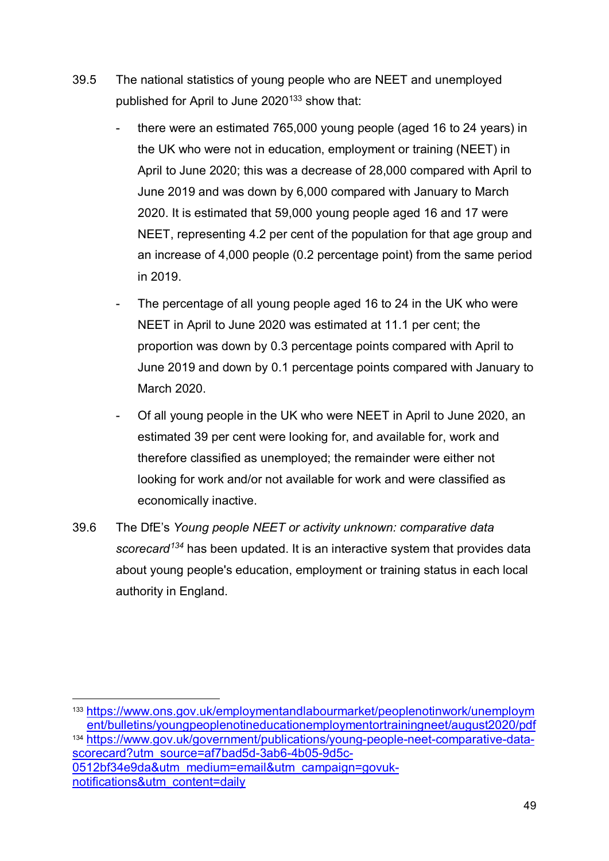- 39.5 The national statistics of young people who are NEET and unemployed published for April to June 2020<sup>133</sup> show that:
	- there were an estimated 765,000 young people (aged 16 to 24 years) in the UK who were not in education, employment or training (NEET) in April to June 2020; this was a decrease of 28,000 compared with April to June 2019 and was down by 6,000 compared with January to March 2020. It is estimated that 59,000 young people aged 16 and 17 were NEET, representing 4.2 per cent of the population for that age group and an increase of 4,000 people (0.2 percentage point) from the same period in 2019.
	- The percentage of all young people aged 16 to 24 in the UK who were NEET in April to June 2020 was estimated at 11.1 per cent; the proportion was down by 0.3 percentage points compared with April to June 2019 and down by 0.1 percentage points compared with January to March 2020.
	- Of all young people in the UK who were NEET in April to June 2020, an estimated 39 per cent were looking for, and available for, work and therefore classified as unemployed; the remainder were either not looking for work and/or not available for work and were classified as economically inactive.
- 39.6 The DfE's *Young people NEET or activity unknown: comparative data scorecard[134](#page-48-1)* has been updated. It is an interactive system that provides data about young people's education, employment or training status in each local authority in England.

<span id="page-48-1"></span><span id="page-48-0"></span> <sup>133</sup>[.https://www.ons.gov.uk/employmentandlabourmarket/peoplenotinwork/unemploym](https://www.ons.gov.uk/employmentandlabourmarket/peoplenotinwork/unemployment/bulletins/youngpeoplenotineducationemploymentortrainingneet/august2020/pdf) [ent/bulletins/youngpeoplenotineducationemploymentortrainingneet/august2020/pdf](https://www.ons.gov.uk/employmentandlabourmarket/peoplenotinwork/unemployment/bulletins/youngpeoplenotineducationemploymentortrainingneet/august2020/pdf) <sup>134</sup> [https://www.gov.uk/government/publications/young-people-neet-comparative-data](https://www.gov.uk/government/publications/young-people-neet-comparative-data-scorecard?utm_source=af7bad5d-3ab6-4b05-9d5c-0512bf34e9da&utm_medium=email&utm_campaign=govuk-notifications&utm_content=daily)[scorecard?utm\\_source=af7bad5d-3ab6-4b05-9d5c-](https://www.gov.uk/government/publications/young-people-neet-comparative-data-scorecard?utm_source=af7bad5d-3ab6-4b05-9d5c-0512bf34e9da&utm_medium=email&utm_campaign=govuk-notifications&utm_content=daily)[0512bf34e9da&utm\\_medium=email&utm\\_campaign=govuk](https://www.gov.uk/government/publications/young-people-neet-comparative-data-scorecard?utm_source=af7bad5d-3ab6-4b05-9d5c-0512bf34e9da&utm_medium=email&utm_campaign=govuk-notifications&utm_content=daily)[notifications&utm\\_content=daily](https://www.gov.uk/government/publications/young-people-neet-comparative-data-scorecard?utm_source=af7bad5d-3ab6-4b05-9d5c-0512bf34e9da&utm_medium=email&utm_campaign=govuk-notifications&utm_content=daily)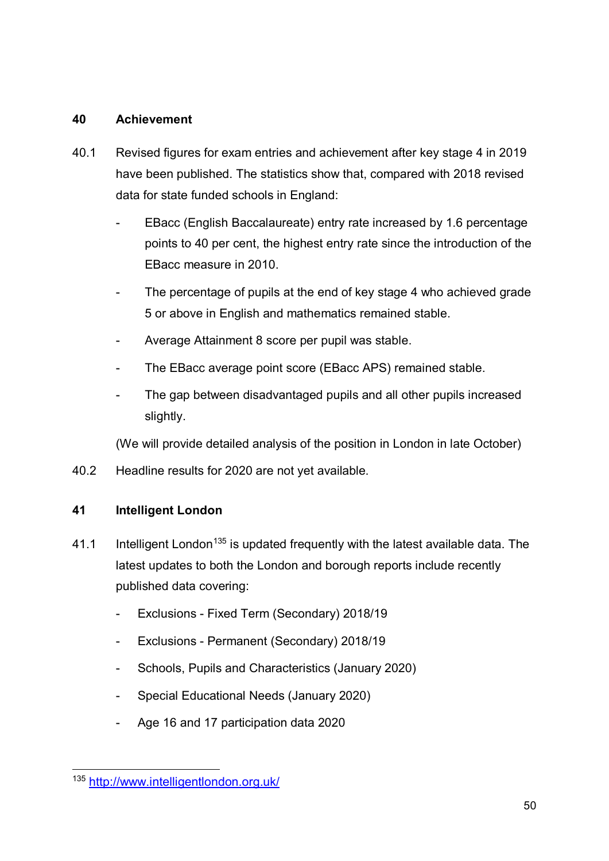#### **40 Achievement**

- 40.1 Revised figures for exam entries and achievement after key stage 4 in 2019 have been published. The statistics show that, compared with 2018 revised data for state funded schools in England:
	- EBacc (English Baccalaureate) entry rate increased by 1.6 percentage points to 40 per cent, the highest entry rate since the introduction of the EBacc measure in 2010.
	- The percentage of pupils at the end of key stage 4 who achieved grade 5 or above in English and mathematics remained stable.
	- Average Attainment 8 score per pupil was stable.
	- The EBacc average point score (EBacc APS) remained stable.
	- The gap between disadvantaged pupils and all other pupils increased slightly.

(We will provide detailed analysis of the position in London in late October)

40.2 Headline results for 2020 are not yet available.

#### **41 Intelligent London**

- 41.1 Intelligent London<sup>[135](#page-49-0)</sup> is updated frequently with the latest available data. The latest updates to both the London and borough reports include recently published data covering:
	- Exclusions Fixed Term (Secondary) 2018/19
	- Exclusions Permanent (Secondary) 2018/19
	- Schools, Pupils and Characteristics (January 2020)
	- Special Educational Needs (January 2020)
	- Age 16 and 17 participation data 2020

<span id="page-49-0"></span> <sup>135</sup> <http://www.intelligentlondon.org.uk/>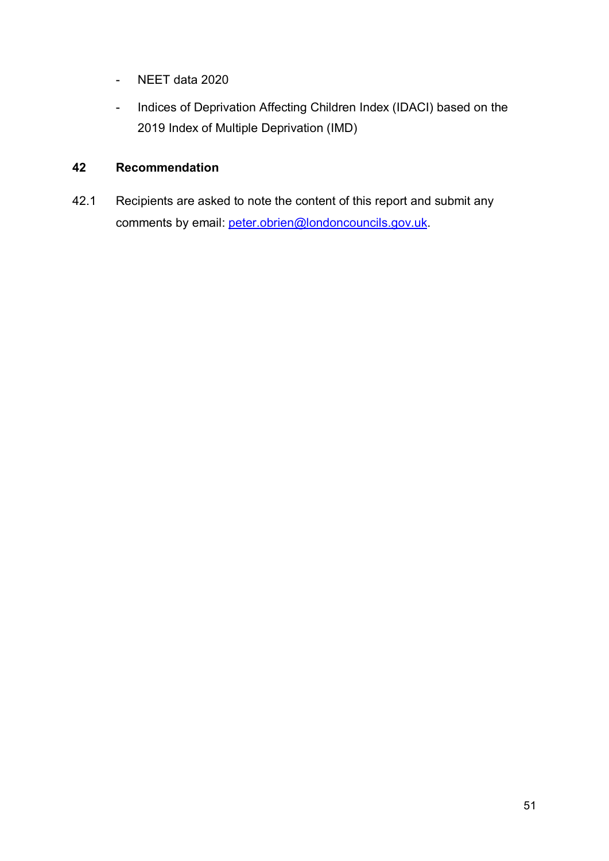- NEET data 2020
- Indices of Deprivation Affecting Children Index (IDACI) based on the 2019 Index of Multiple Deprivation (IMD)

#### **42 Recommendation**

42.1 Recipients are asked to note the content of this report and submit any comments by email: [peter.obrien@londoncouncils.gov.uk.](mailto:peter.obrien@londoncouncils.gov.uk)